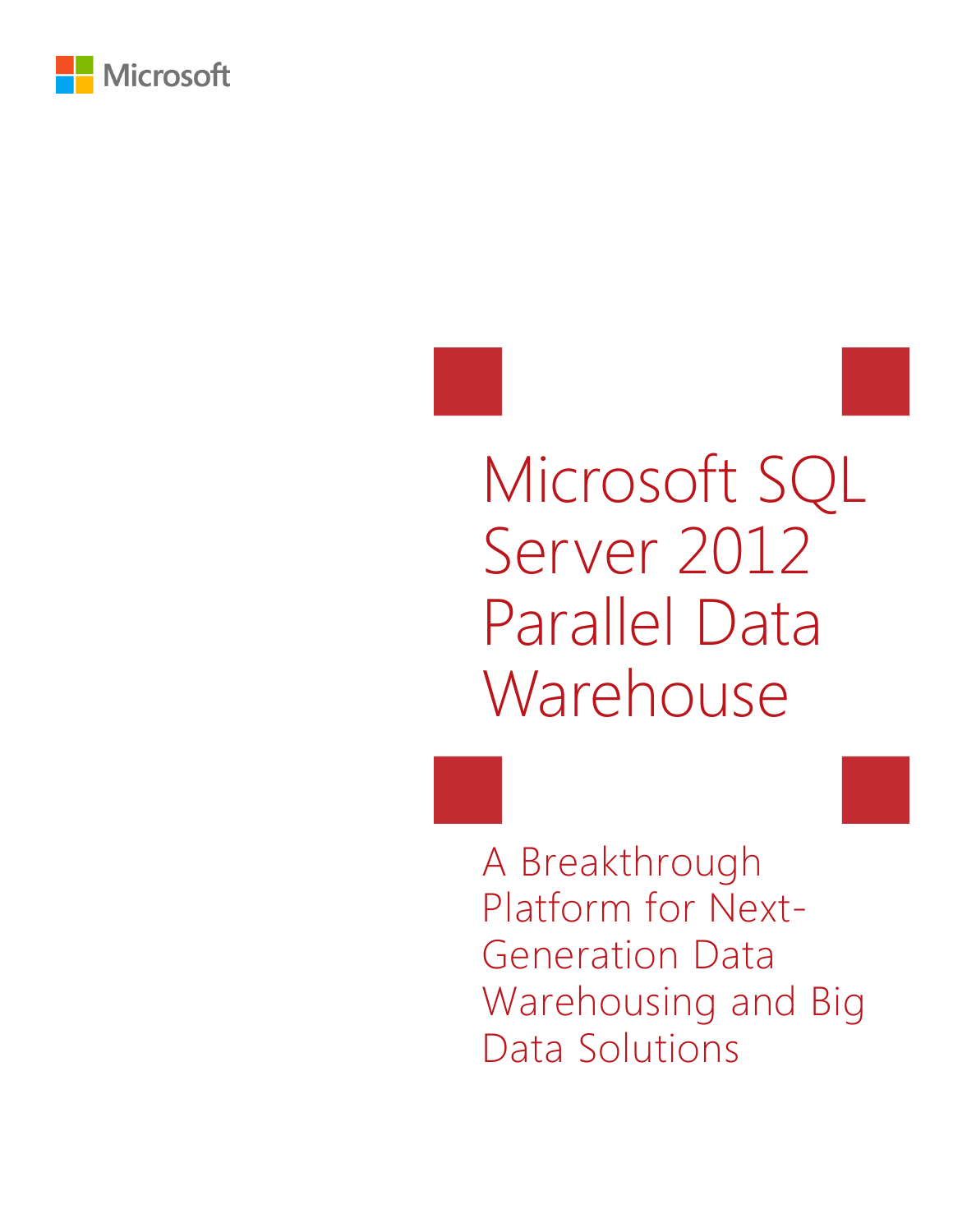

# Microsoft SQL Server 2012 Parallel Data Warehouse

A Breakthrough Platform for Next-Generation Data Warehousing and Big Data Solutions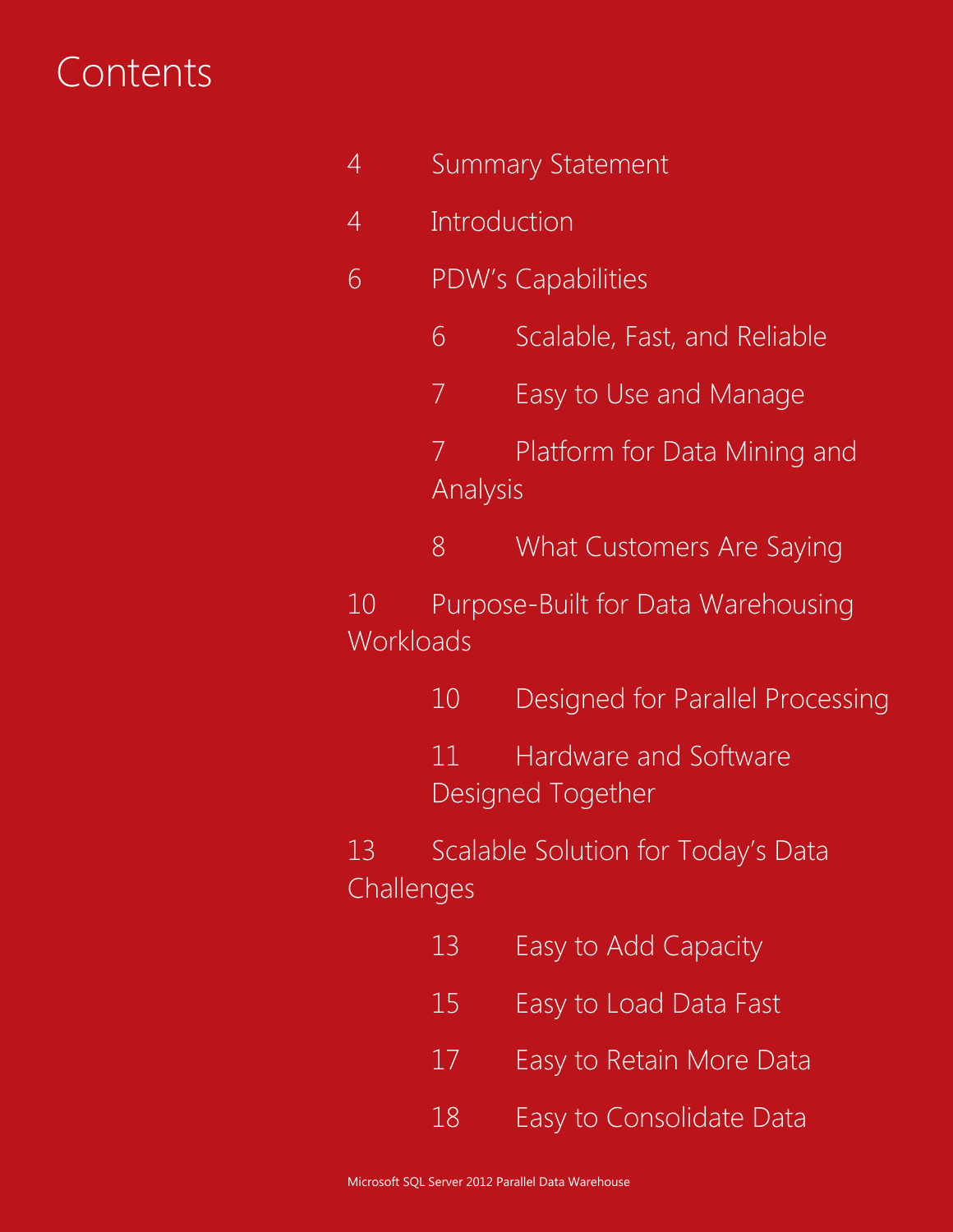### **Contents**

- Summary Statement
- Introduction
- PDW's Capabilities
	- Scalable, Fast, and Reliable
	- Easy to Use and Manage
	- Platform for Data Mining and Analysis
	- What Customers Are Saying
- Purpose-Built for Data Warehousing **Workloads** 
	- Designed for Parallel Processing
	- Hardware and Software Designed Together
- 13 Scalable Solution for Today's Data **Challenges** 
	- Easy to Add Capacity
	- Easy to Load Data Fast
	- Easy to Retain More Data
	- Easy to Consolidate Data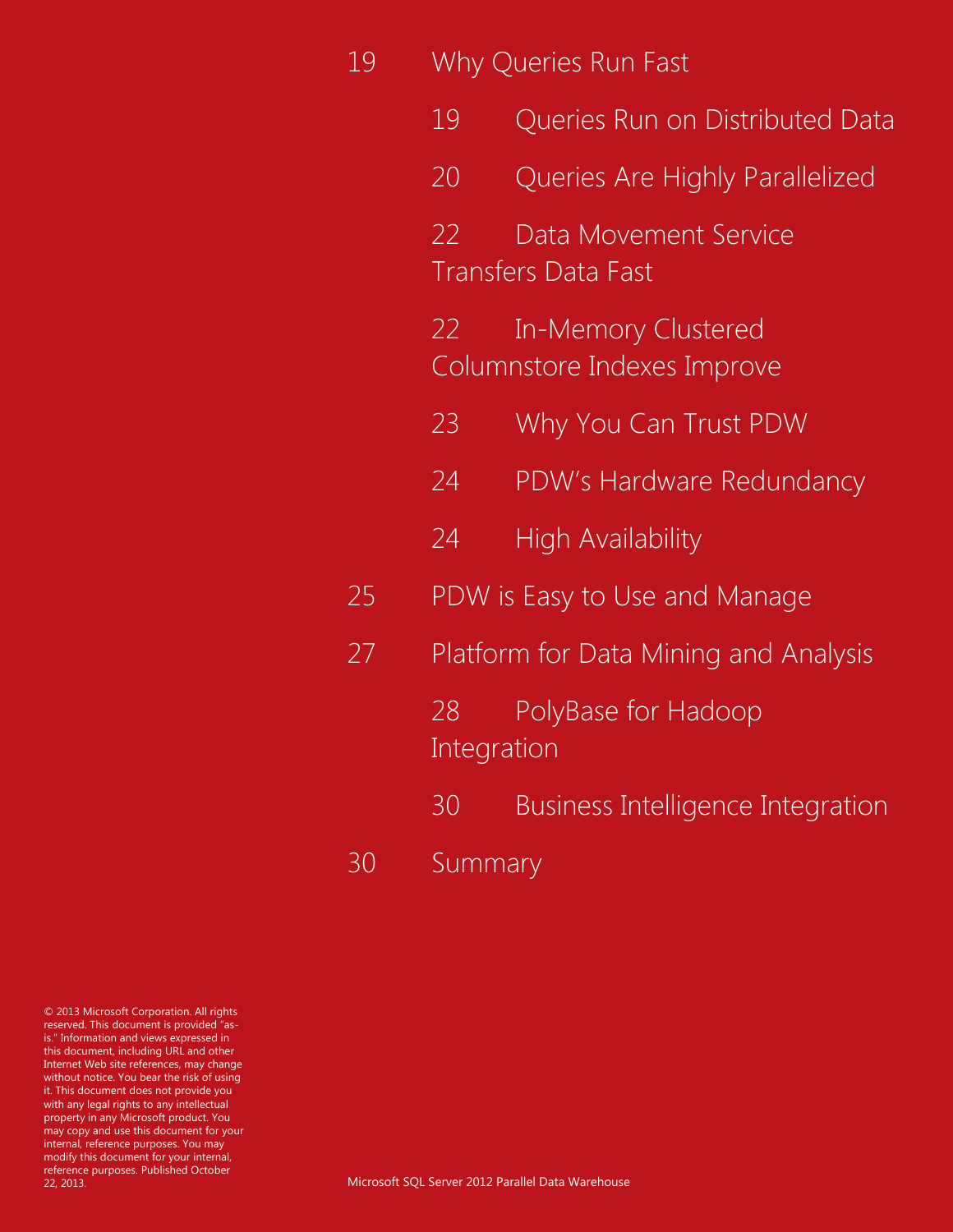|    |                                                                 | Why Queries Run Fast                                |  |  |  |
|----|-----------------------------------------------------------------|-----------------------------------------------------|--|--|--|
|    | 19                                                              | Queries Run on Distributed Data                     |  |  |  |
|    | 20                                                              | Queries Are Highly Parallelized                     |  |  |  |
|    | 22                                                              | Data Movement Service<br><b>Transfers Data Fast</b> |  |  |  |
|    | <b>In-Memory Clustered</b><br>22<br>Columnstore Indexes Improve |                                                     |  |  |  |
|    | 23                                                              | Why You Can Trust PDW                               |  |  |  |
|    | 24                                                              | PDW's Hardware Redundancy                           |  |  |  |
|    | 24                                                              | <b>High Availability</b>                            |  |  |  |
| 25 |                                                                 | PDW is Easy to Use and Manage                       |  |  |  |
| 27 | Platform for Data Mining and Analysis                           |                                                     |  |  |  |
|    | PolyBase for Hadoop<br>28<br>Integration                        |                                                     |  |  |  |
|    | 30                                                              | Business Intelligence Integration                   |  |  |  |
| 30 | Summary                                                         |                                                     |  |  |  |

© 2013 Microsoft Corporation. All rights reserved. This document is provided "asis." Information and views expressed in this document, including URL and other Internet Web site references, may change without notice. You bear the risk of using it. This document does not provide you with any legal rights to any intellectual property in any Microsoft product. You may copy and use this document for your internal, reference purposes. You may modify this document for your internal, reference purposes. Published October 22, 2013.

Microsoft SQL Server 2012 Parallel Data Warehouse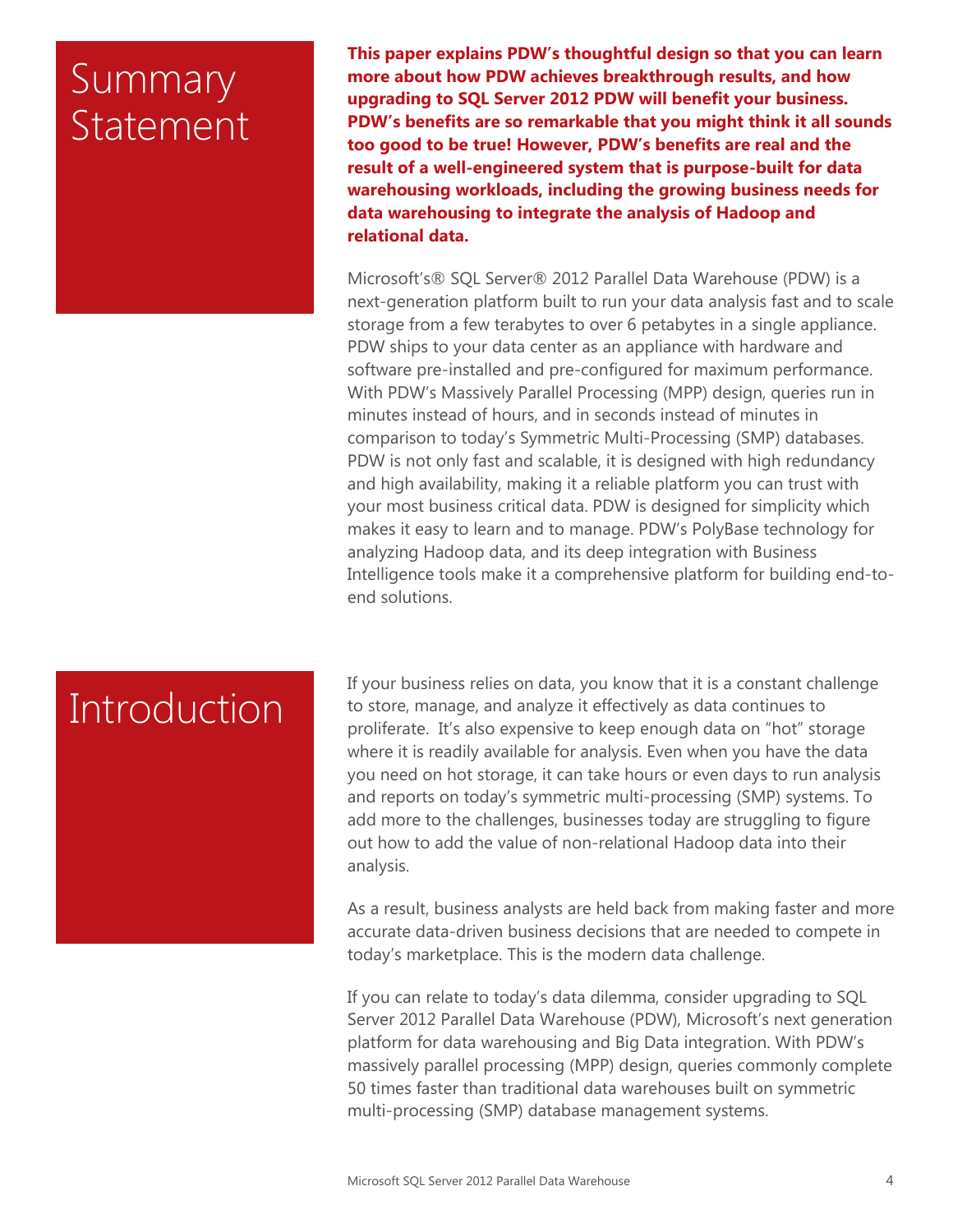### Summary Statement

**This paper explains PDW's thoughtful design so that you can learn more about how PDW achieves breakthrough results, and how upgrading to SQL Server 2012 PDW will benefit your business. PDW's benefits are so remarkable that you might think it all sounds too good to be true! However, PDW's benefits are real and the result of a well-engineered system that is purpose-built for data warehousing workloads, including the growing business needs for data warehousing to integrate the analysis of Hadoop and relational data.**

Microsoft's® SQL Server® 2012 Parallel Data Warehouse (PDW) is a next-generation platform built to run your data analysis fast and to scale storage from a few terabytes to over 6 petabytes in a single appliance. PDW ships to your data center as an appliance with hardware and software pre-installed and pre-configured for maximum performance. With PDW's Massively Parallel Processing (MPP) design, queries run in minutes instead of hours, and in seconds instead of minutes in comparison to today's Symmetric Multi-Processing (SMP) databases. PDW is not only fast and scalable, it is designed with high redundancy and high availability, making it a reliable platform you can trust with your most business critical data. PDW is designed for simplicity which makes it easy to learn and to manage. PDW's PolyBase technology for analyzing Hadoop data, and its deep integration with Business Intelligence tools make it a comprehensive platform for building end-toend solutions.

# **Introduction**

If your business relies on data, you know that it is a constant challenge to store, manage, and analyze it effectively as data continues to proliferate. It's also expensive to keep enough data on "hot" storage where it is readily available for analysis. Even when you have the data you need on hot storage, it can take hours or even days to run analysis and reports on today's symmetric multi-processing (SMP) systems. To add more to the challenges, businesses today are struggling to figure out how to add the value of non-relational Hadoop data into their analysis.

As a result, business analysts are held back from making faster and more accurate data-driven business decisions that are needed to compete in today's marketplace. This is the modern data challenge.

If you can relate to today's data dilemma, consider upgrading to SQL Server 2012 Parallel Data Warehouse (PDW), Microsoft's next generation platform for data warehousing and Big Data integration. With PDW's massively parallel processing (MPP) design, queries commonly complete 50 times faster than traditional data warehouses built on symmetric multi-processing (SMP) database management systems.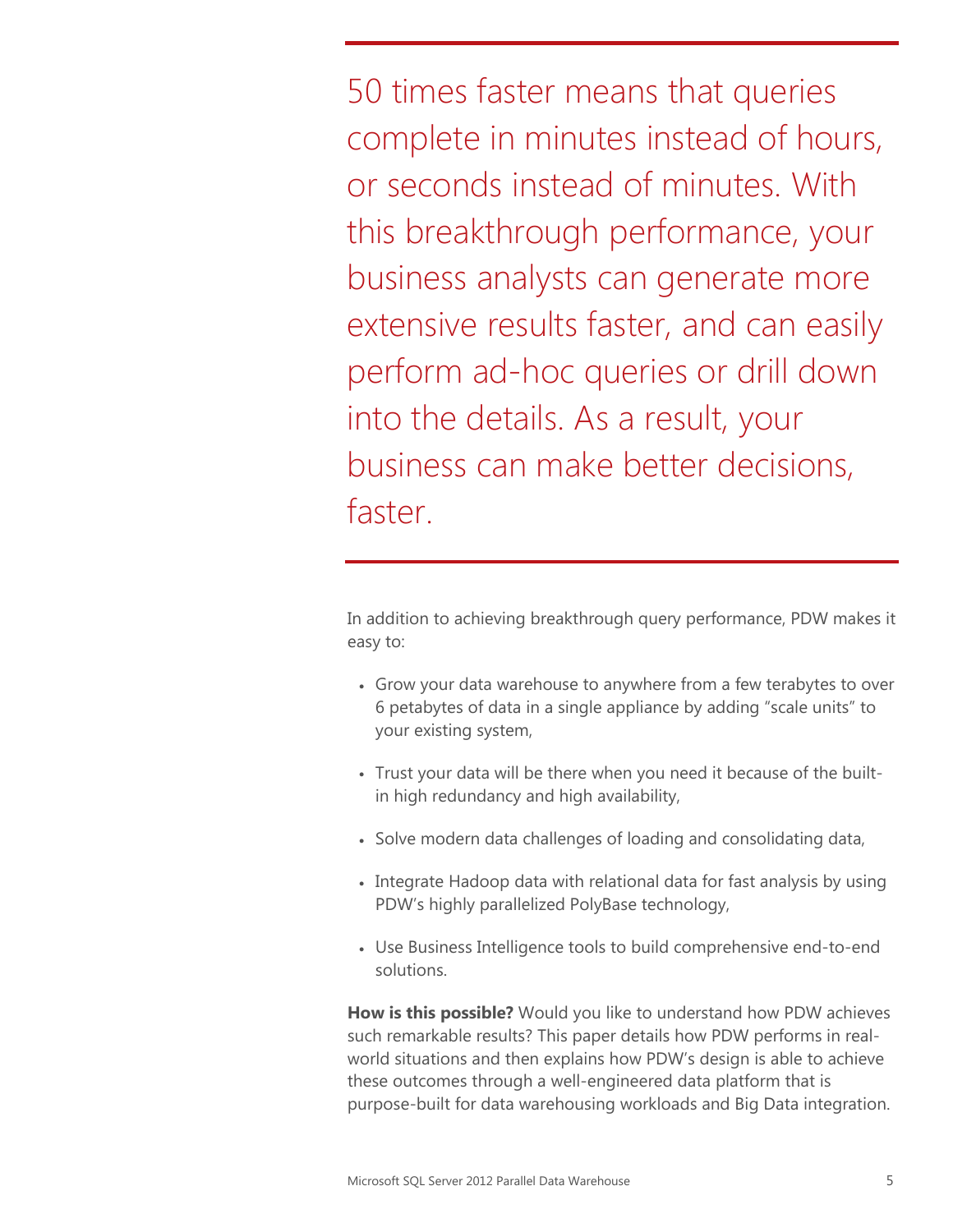50 times faster means that queries complete in minutes instead of hours, or seconds instead of minutes. With this breakthrough performance, your business analysts can generate more extensive results faster, and can easily perform ad-hoc queries or drill down into the details. As a result, your business can make better decisions, faster.

In addition to achieving breakthrough query performance, PDW makes it easy to:

- Grow your data warehouse to anywhere from a few terabytes to over 6 petabytes of data in a single appliance by adding "scale units" to your existing system,
- Trust your data will be there when you need it because of the builtin high redundancy and high availability,
- Solve modern data challenges of loading and consolidating data,
- Integrate Hadoop data with relational data for fast analysis by using PDW's highly parallelized PolyBase technology,
- Use Business Intelligence tools to build comprehensive end-to-end solutions.

**How is this possible?** Would you like to understand how PDW achieves such remarkable results? This paper details how PDW performs in realworld situations and then explains how PDW's design is able to achieve these outcomes through a well-engineered data platform that is purpose-built for data warehousing workloads and Big Data integration.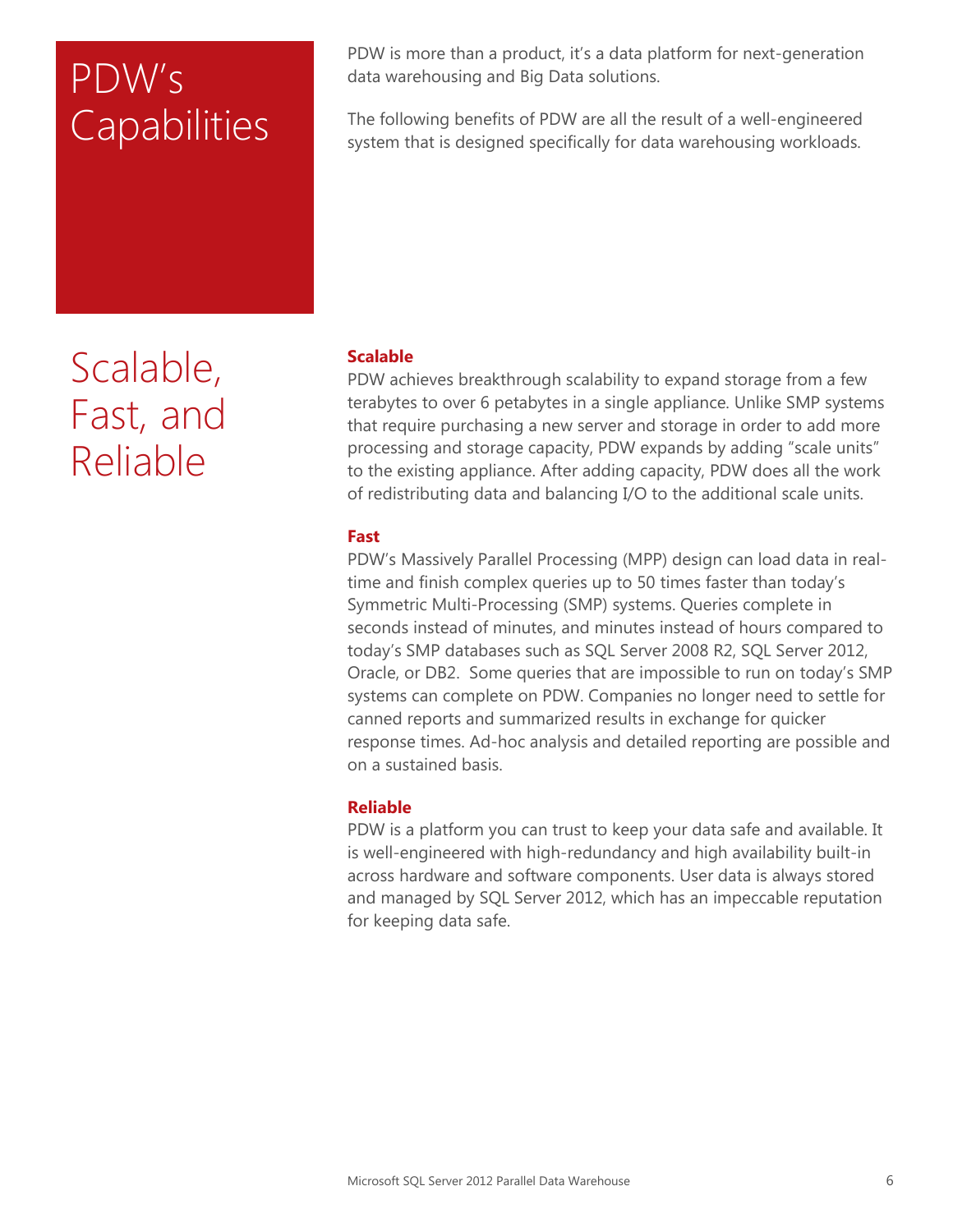# PDW's **Capabilities**

Scalable, Fast, and Reliable

PDW is more than a product, it's a data platform for next-generation data warehousing and Big Data solutions.

The following benefits of PDW are all the result of a well-engineered system that is designed specifically for data warehousing workloads.

### **Scalable**

PDW achieves breakthrough scalability to expand storage from a few terabytes to over 6 petabytes in a single appliance. Unlike SMP systems that require purchasing a new server and storage in order to add more processing and storage capacity, PDW expands by adding "scale units" to the existing appliance. After adding capacity, PDW does all the work of redistributing data and balancing I/O to the additional scale units.

### **Fast**

PDW's Massively Parallel Processing (MPP) design can load data in realtime and finish complex queries up to 50 times faster than today's Symmetric Multi-Processing (SMP) systems. Queries complete in seconds instead of minutes, and minutes instead of hours compared to today's SMP databases such as SQL Server 2008 R2, SQL Server 2012, Oracle, or DB2. Some queries that are impossible to run on today's SMP systems can complete on PDW. Companies no longer need to settle for canned reports and summarized results in exchange for quicker response times. Ad-hoc analysis and detailed reporting are possible and on a sustained basis.

### **Reliable**

PDW is a platform you can trust to keep your data safe and available. It is well-engineered with high-redundancy and high availability built-in across hardware and software components. User data is always stored and managed by SQL Server 2012, which has an impeccable reputation for keeping data safe.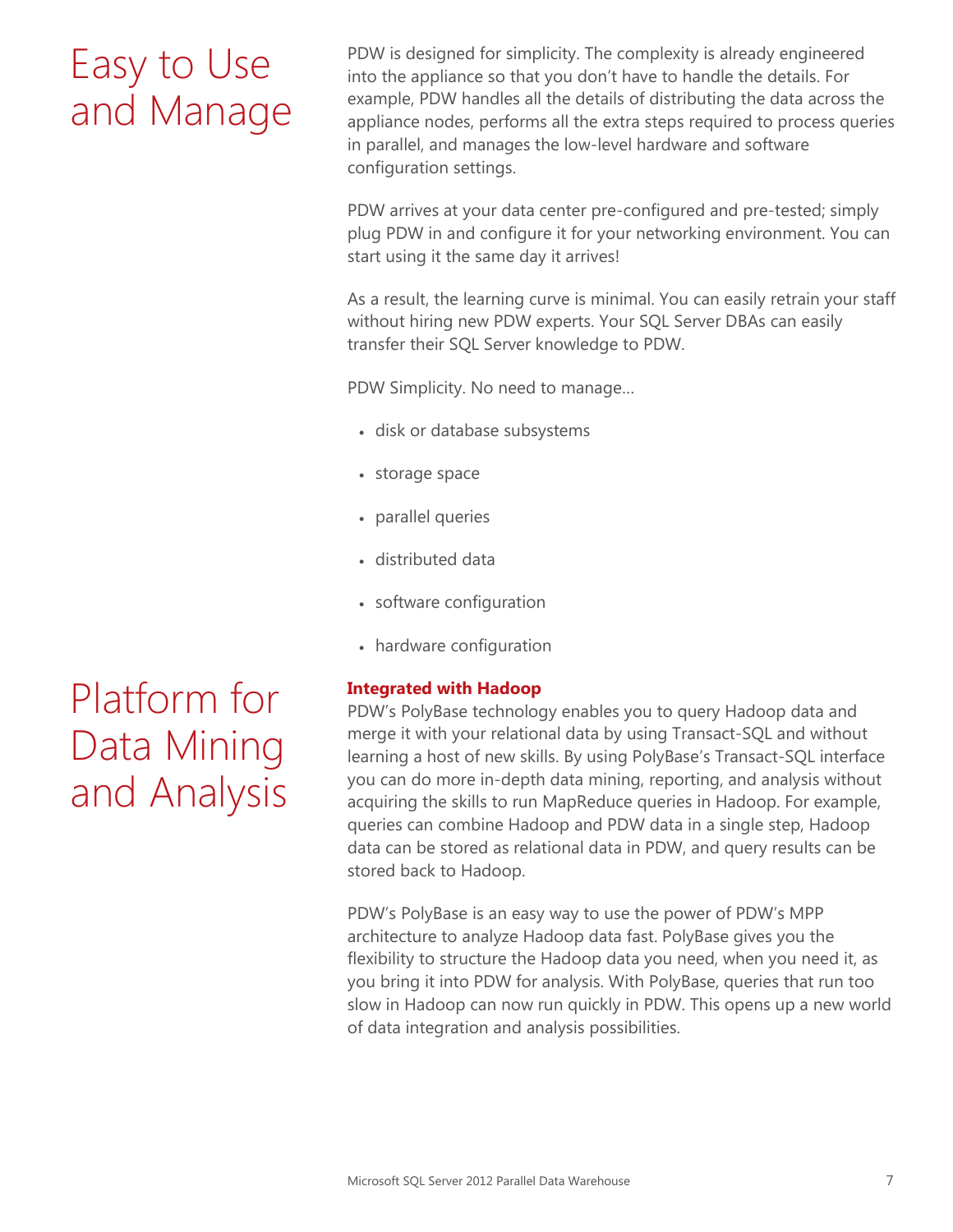# Easy to Use and Manage

PDW is designed for simplicity. The complexity is already engineered into the appliance so that you don't have to handle the details. For example, PDW handles all the details of distributing the data across the appliance nodes, performs all the extra steps required to process queries in parallel, and manages the low-level hardware and software configuration settings.

PDW arrives at your data center pre-configured and pre-tested; simply plug PDW in and configure it for your networking environment. You can start using it the same day it arrives!

As a result, the learning curve is minimal. You can easily retrain your staff without hiring new PDW experts. Your SQL Server DBAs can easily transfer their SQL Server knowledge to PDW.

PDW Simplicity. No need to manage…

- disk or database subsystems
- storage space
- parallel queries
- distributed data
- software configuration
- hardware configuration

### **Integrated with Hadoop**

PDW's PolyBase technology enables you to query Hadoop data and merge it with your relational data by using Transact-SQL and without learning a host of new skills. By using PolyBase's Transact-SQL interface you can do more in-depth data mining, reporting, and analysis without acquiring the skills to run MapReduce queries in Hadoop. For example, queries can combine Hadoop and PDW data in a single step, Hadoop data can be stored as relational data in PDW, and query results can be stored back to Hadoop.

PDW's PolyBase is an easy way to use the power of PDW's MPP architecture to analyze Hadoop data fast. PolyBase gives you the flexibility to structure the Hadoop data you need, when you need it, as you bring it into PDW for analysis. With PolyBase, queries that run too slow in Hadoop can now run quickly in PDW. This opens up a new world of data integration and analysis possibilities.

# Platform for Data Mining and Analysis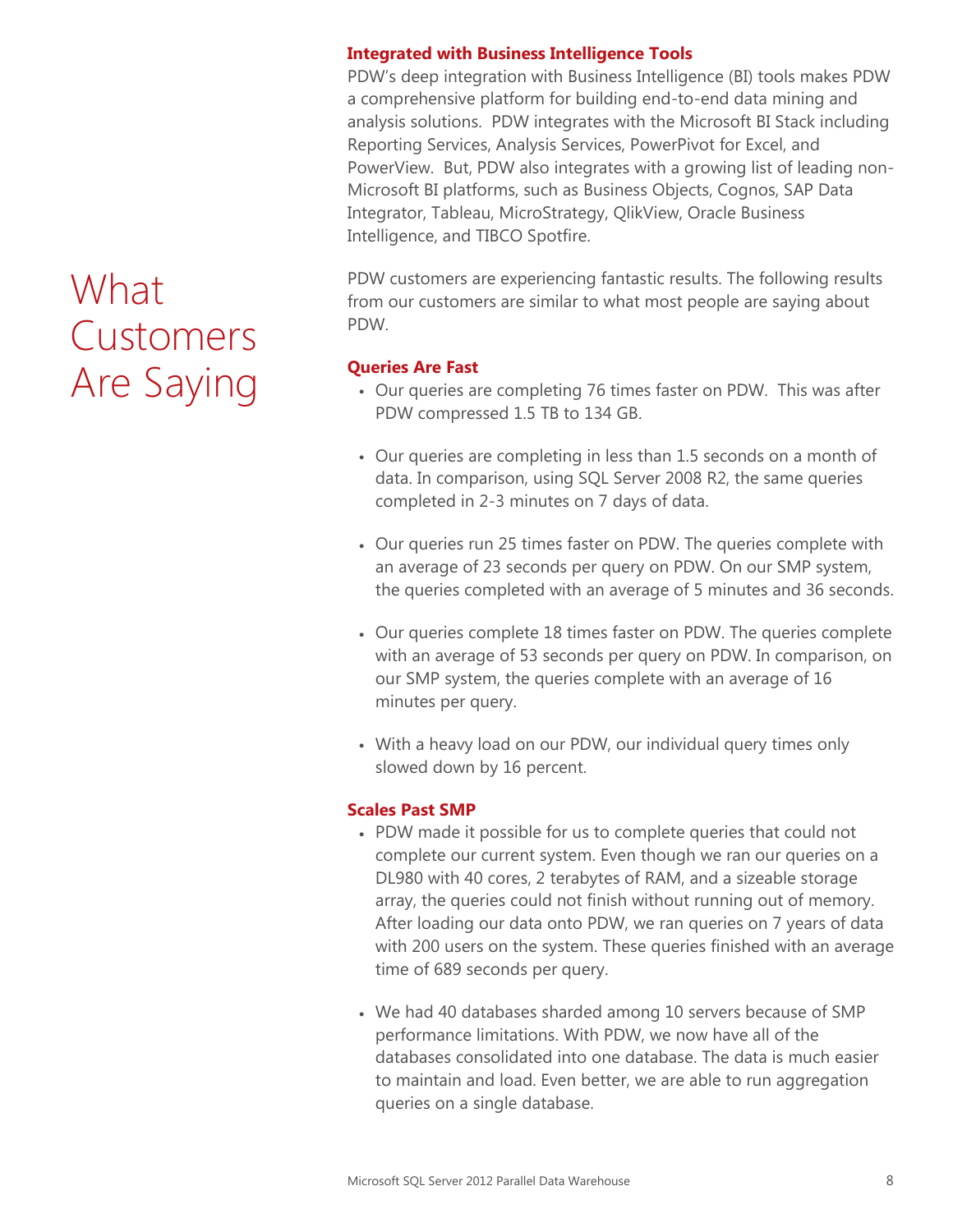# What Customers Are Saying

#### **Integrated with Business Intelligence Tools**

PDW's deep integration with Business Intelligence (BI) tools makes PDW a comprehensive platform for building end-to-end data mining and analysis solutions. PDW integrates with the Microsoft BI Stack including Reporting Services, Analysis Services, PowerPivot for Excel, and PowerView. But, PDW also integrates with a growing list of leading non-Microsoft BI platforms, such as Business Objects, Cognos, SAP Data Integrator, Tableau, MicroStrategy, QlikView, Oracle Business Intelligence, and TIBCO Spotfire.

PDW customers are experiencing fantastic results. The following results from our customers are similar to what most people are saying about PDW.

#### **Queries Are Fast**

- Our queries are completing 76 times faster on PDW. This was after PDW compressed 1.5 TB to 134 GB.
- Our queries are completing in less than 1.5 seconds on a month of data. In comparison, using SQL Server 2008 R2, the same queries completed in 2-3 minutes on 7 days of data.
- Our queries run 25 times faster on PDW. The queries complete with an average of 23 seconds per query on PDW. On our SMP system, the queries completed with an average of 5 minutes and 36 seconds.
- Our queries complete 18 times faster on PDW. The queries complete with an average of 53 seconds per query on PDW. In comparison, on our SMP system, the queries complete with an average of 16 minutes per query.
- With a heavy load on our PDW, our individual query times only slowed down by 16 percent.

### **Scales Past SMP**

- PDW made it possible for us to complete queries that could not complete our current system. Even though we ran our queries on a DL980 with 40 cores, 2 terabytes of RAM, and a sizeable storage array, the queries could not finish without running out of memory. After loading our data onto PDW, we ran queries on 7 years of data with 200 users on the system. These queries finished with an average time of 689 seconds per query.
- We had 40 databases sharded among 10 servers because of SMP performance limitations. With PDW, we now have all of the databases consolidated into one database. The data is much easier to maintain and load. Even better, we are able to run aggregation queries on a single database.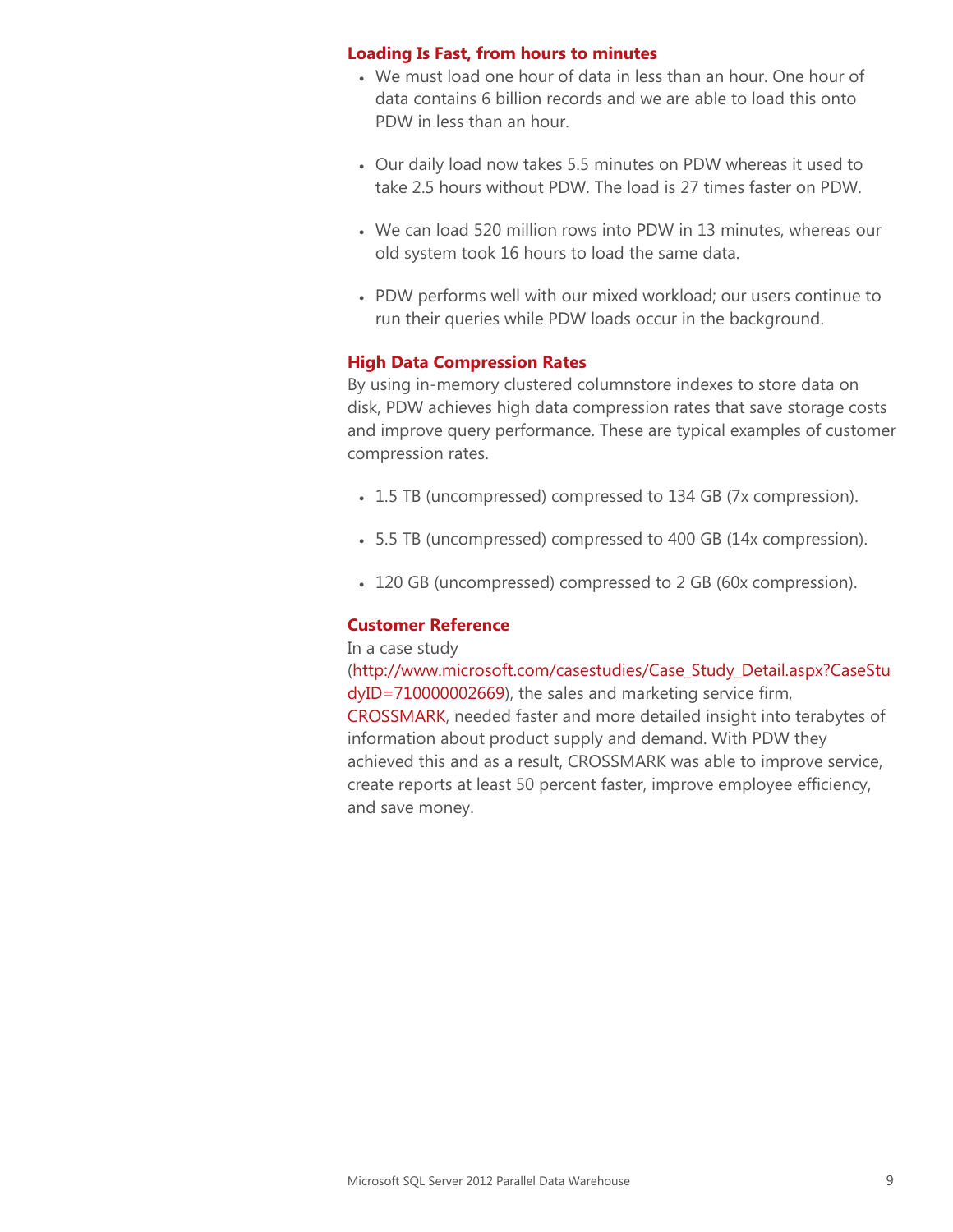#### **Loading Is Fast, from hours to minutes**

- We must load one hour of data in less than an hour. One hour of data contains 6 billion records and we are able to load this onto PDW in less than an hour.
- Our daily load now takes 5.5 minutes on PDW whereas it used to take 2.5 hours without PDW. The load is 27 times faster on PDW.
- We can load 520 million rows into PDW in 13 minutes, whereas our old system took 16 hours to load the same data.
- PDW performs well with our mixed workload; our users continue to run their queries while PDW loads occur in the background.

### **High Data Compression Rates**

By using in-memory clustered columnstore indexes to store data on disk, PDW achieves high data compression rates that save storage costs and improve query performance. These are typical examples of customer compression rates.

- 1.5 TB (uncompressed) compressed to 134 GB (7x compression).
- 5.5 TB (uncompressed) compressed to 400 GB (14x compression).
- 120 GB (uncompressed) compressed to 2 GB (60x compression).

#### **Customer Reference**

#### In a case study

[\(http://www.microsoft.com/casestudies/Case\\_Study\\_Detail.aspx?CaseStu](http://www.microsoft.com/casestudies/Case_Study_Detail.aspx?CaseStudyID=710000002669) [dyID=710000002669\)](http://www.microsoft.com/casestudies/Case_Study_Detail.aspx?CaseStudyID=710000002669), the sales and marketing service firm, [CROSSMARK,](http://www.microsoft.com/casestudies/Case_Study_Detail.aspx?CaseStudyID=710000002669) needed faster and more detailed insight into terabytes of information about product supply and demand. With PDW they achieved this and as a result, CROSSMARK was able to improve service, create reports at least 50 percent faster, improve employee efficiency, and save money.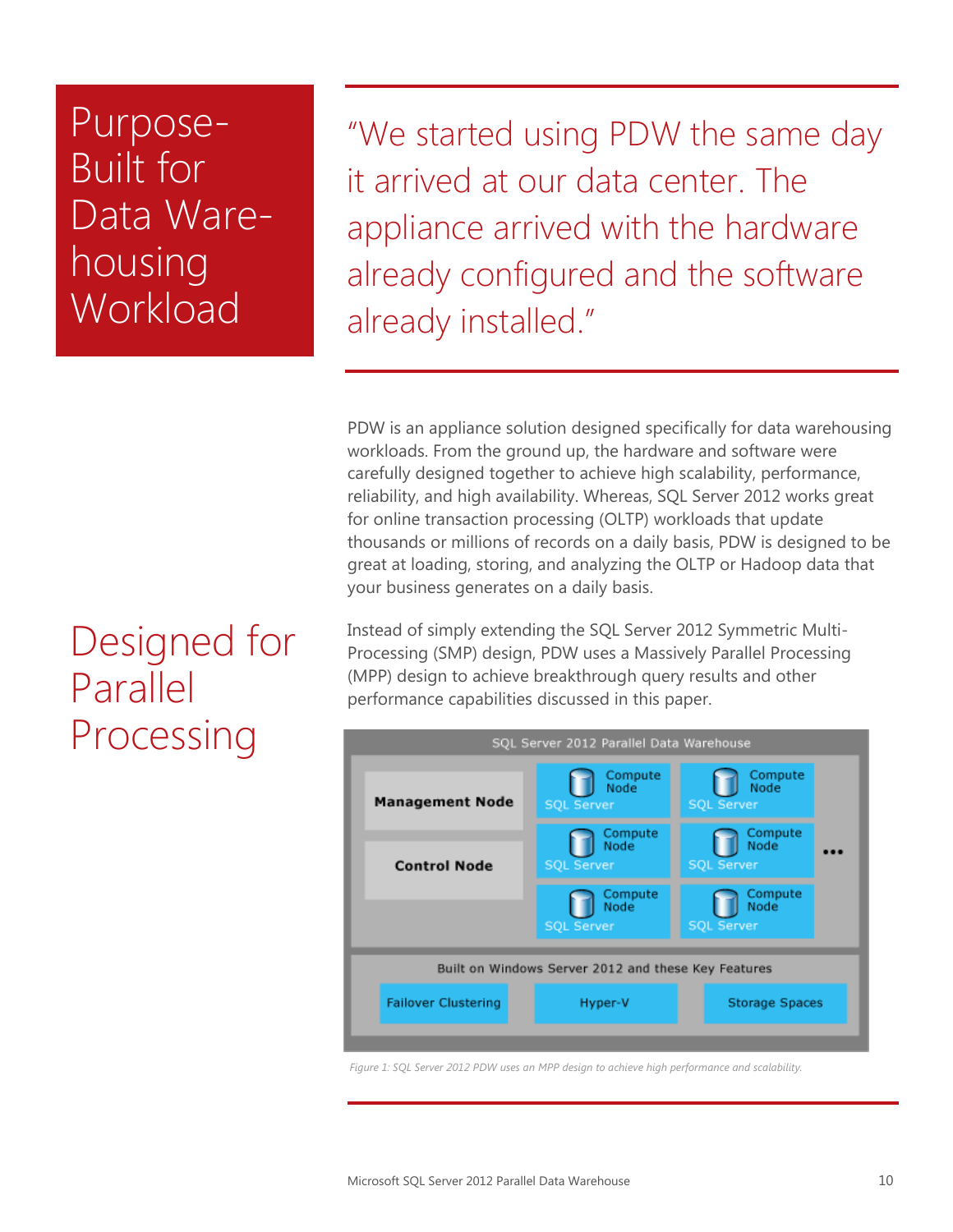Purpose-Built for Data Warehousing **Workload** 

"We started using PDW the same day it arrived at our data center. The appliance arrived with the hardware already configured and the software already installed."

PDW is an appliance solution designed specifically for data warehousing workloads. From the ground up, the hardware and software were carefully designed together to achieve high scalability, performance, reliability, and high availability. Whereas, SQL Server 2012 works great for online transaction processing (OLTP) workloads that update thousands or millions of records on a daily basis, PDW is designed to be great at loading, storing, and analyzing the OLTP or Hadoop data that your business generates on a daily basis.

Instead of simply extending the SQL Server 2012 Symmetric Multi-Processing (SMP) design, PDW uses a Massively Parallel Processing (MPP) design to achieve breakthrough query results and other performance capabilities discussed in this paper.



*Figure 1: SQL Server 2012 PDW uses an MPP design to achieve high performance and scalability.*

### Designed for Parallel Processing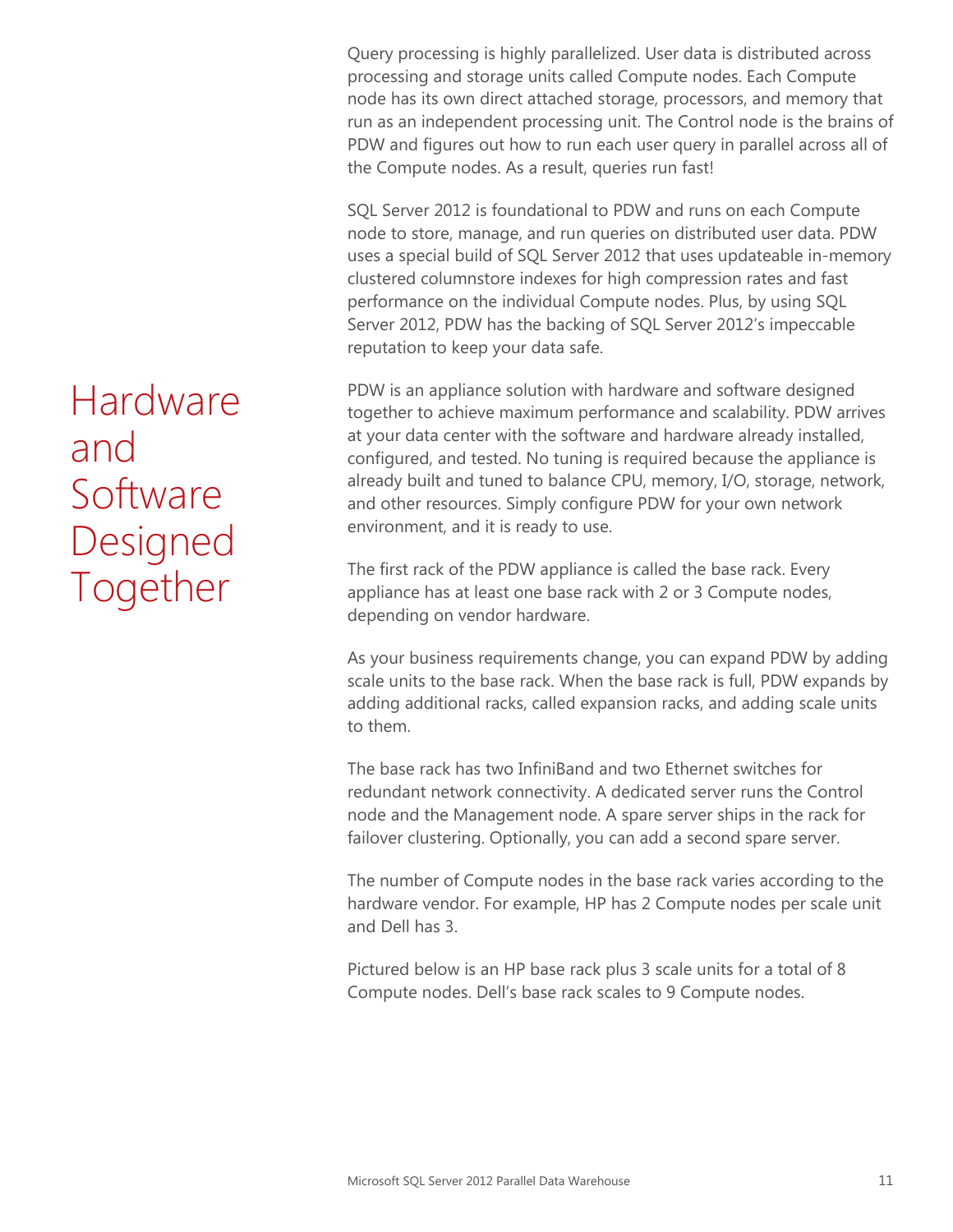Query processing is highly parallelized. User data is distributed across processing and storage units called Compute nodes. Each Compute node has its own direct attached storage, processors, and memory that run as an independent processing unit. The Control node is the brains of PDW and figures out how to run each user query in parallel across all of the Compute nodes. As a result, queries run fast!

SQL Server 2012 is foundational to PDW and runs on each Compute node to store, manage, and run queries on distributed user data. PDW uses a special build of SQL Server 2012 that uses updateable in-memory clustered columnstore indexes for high compression rates and fast performance on the individual Compute nodes. Plus, by using SQL Server 2012, PDW has the backing of SQL Server 2012's impeccable reputation to keep your data safe.

PDW is an appliance solution with hardware and software designed together to achieve maximum performance and scalability. PDW arrives at your data center with the software and hardware already installed, configured, and tested. No tuning is required because the appliance is already built and tuned to balance CPU, memory, I/O, storage, network, and other resources. Simply configure PDW for your own network environment, and it is ready to use.

The first rack of the PDW appliance is called the base rack. Every appliance has at least one base rack with 2 or 3 Compute nodes, depending on vendor hardware.

As your business requirements change, you can expand PDW by adding scale units to the base rack. When the base rack is full, PDW expands by adding additional racks, called expansion racks, and adding scale units to them.

The base rack has two InfiniBand and two Ethernet switches for redundant network connectivity. A dedicated server runs the Control node and the Management node. A spare server ships in the rack for failover clustering. Optionally, you can add a second spare server.

The number of Compute nodes in the base rack varies according to the hardware vendor. For example, HP has 2 Compute nodes per scale unit and Dell has 3.

Pictured below is an HP base rack plus 3 scale units for a total of 8 Compute nodes. Dell's base rack scales to 9 Compute nodes.

Hardware and Software Designed Together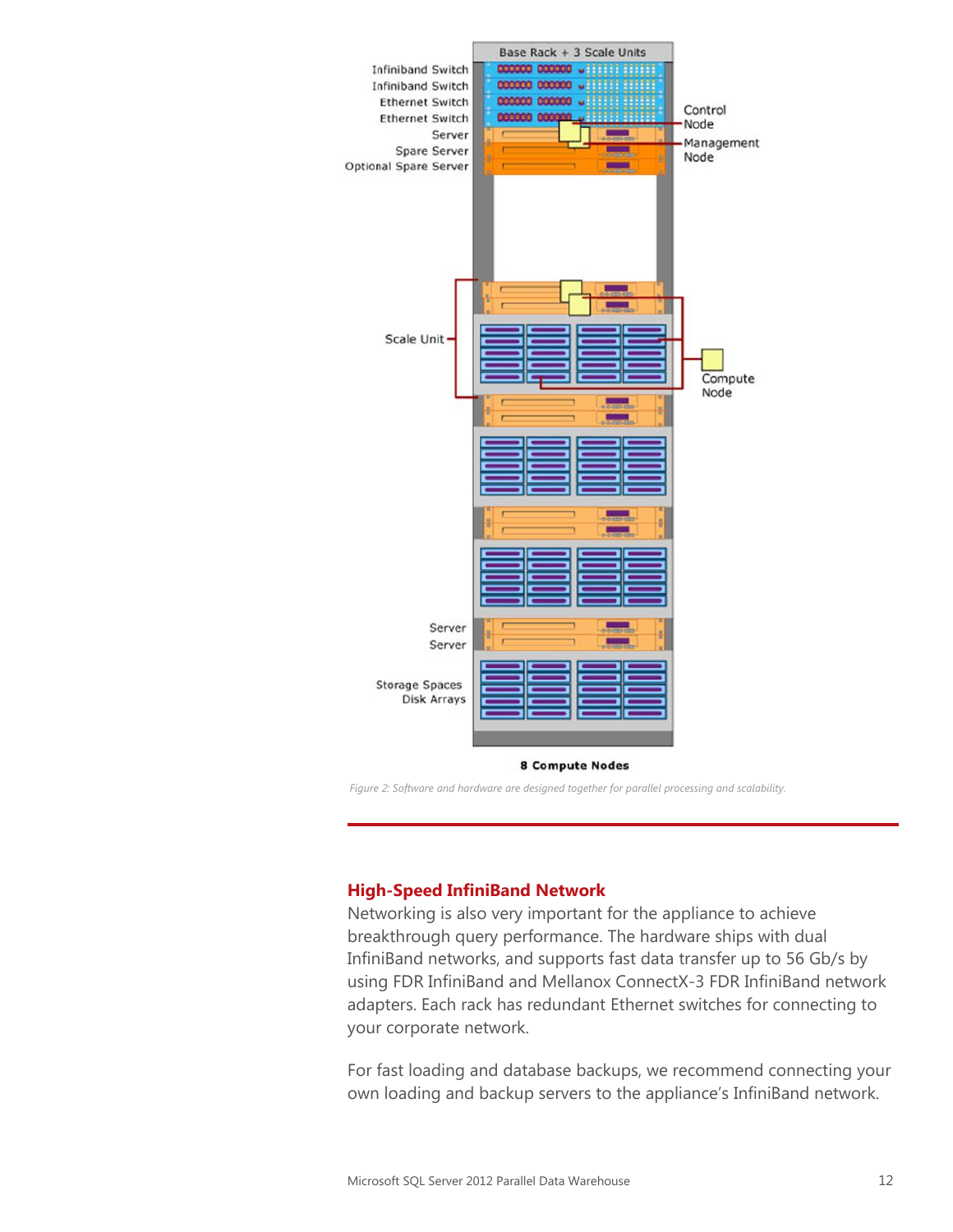

*Figure 2: Software and hardware are designed together for parallel processing and scalability.*

### **High-Speed InfiniBand Network**

Networking is also very important for the appliance to achieve breakthrough query performance. The hardware ships with dual InfiniBand networks, and supports fast data transfer up to 56 Gb/s by using FDR InfiniBand and Mellanox ConnectX-3 FDR InfiniBand network adapters. Each rack has redundant Ethernet switches for connecting to your corporate network.

For fast loading and database backups, we recommend connecting your own loading and backup servers to the appliance's InfiniBand network.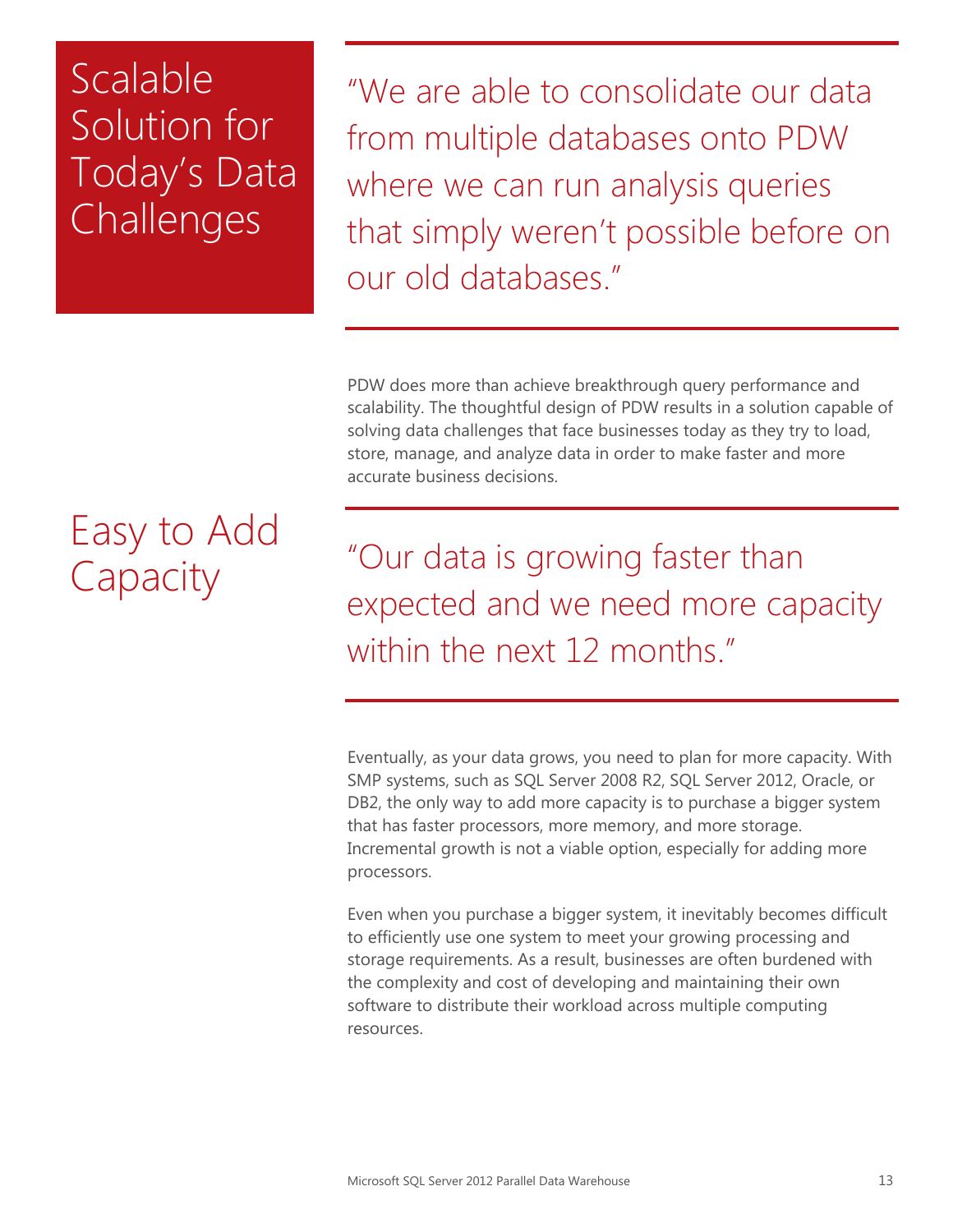### Scalable Solution for Today's Data **Challenges**

"We are able to consolidate our data from multiple databases onto PDW where we can run analysis queries that simply weren't possible before on our old databases."

PDW does more than achieve breakthrough query performance and scalability. The thoughtful design of PDW results in a solution capable of solving data challenges that face businesses today as they try to load, store, manage, and analyze data in order to make faster and more accurate business decisions.

# Easy to Add **Capacity**

"Our data is growing faster than expected and we need more capacity within the next 12 months."

Eventually, as your data grows, you need to plan for more capacity. With SMP systems, such as SQL Server 2008 R2, SQL Server 2012, Oracle, or DB2, the only way to add more capacity is to purchase a bigger system that has faster processors, more memory, and more storage. Incremental growth is not a viable option, especially for adding more processors.

Even when you purchase a bigger system, it inevitably becomes difficult to efficiently use one system to meet your growing processing and storage requirements. As a result, businesses are often burdened with the complexity and cost of developing and maintaining their own software to distribute their workload across multiple computing resources.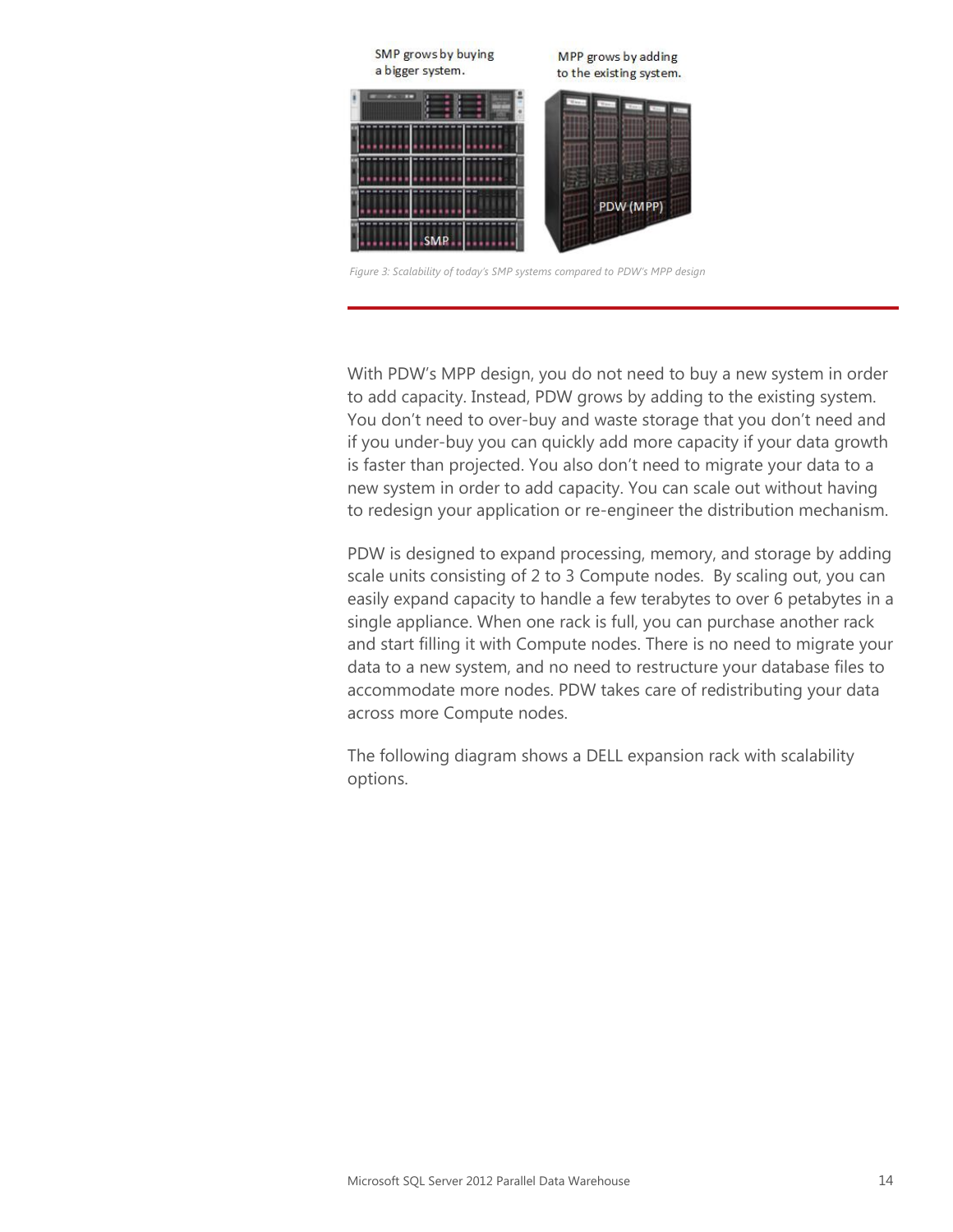

*Figure 3: Scalability of today's SMP systems compared to PDW's MPP design*

With PDW's MPP design, you do not need to buy a new system in order to add capacity. Instead, PDW grows by adding to the existing system. You don't need to over-buy and waste storage that you don't need and if you under-buy you can quickly add more capacity if your data growth is faster than projected. You also don't need to migrate your data to a new system in order to add capacity. You can scale out without having to redesign your application or re-engineer the distribution mechanism.

PDW is designed to expand processing, memory, and storage by adding scale units consisting of 2 to 3 Compute nodes. By scaling out, you can easily expand capacity to handle a few terabytes to over 6 petabytes in a single appliance. When one rack is full, you can purchase another rack and start filling it with Compute nodes. There is no need to migrate your data to a new system, and no need to restructure your database files to accommodate more nodes. PDW takes care of redistributing your data across more Compute nodes.

The following diagram shows a DELL expansion rack with scalability options.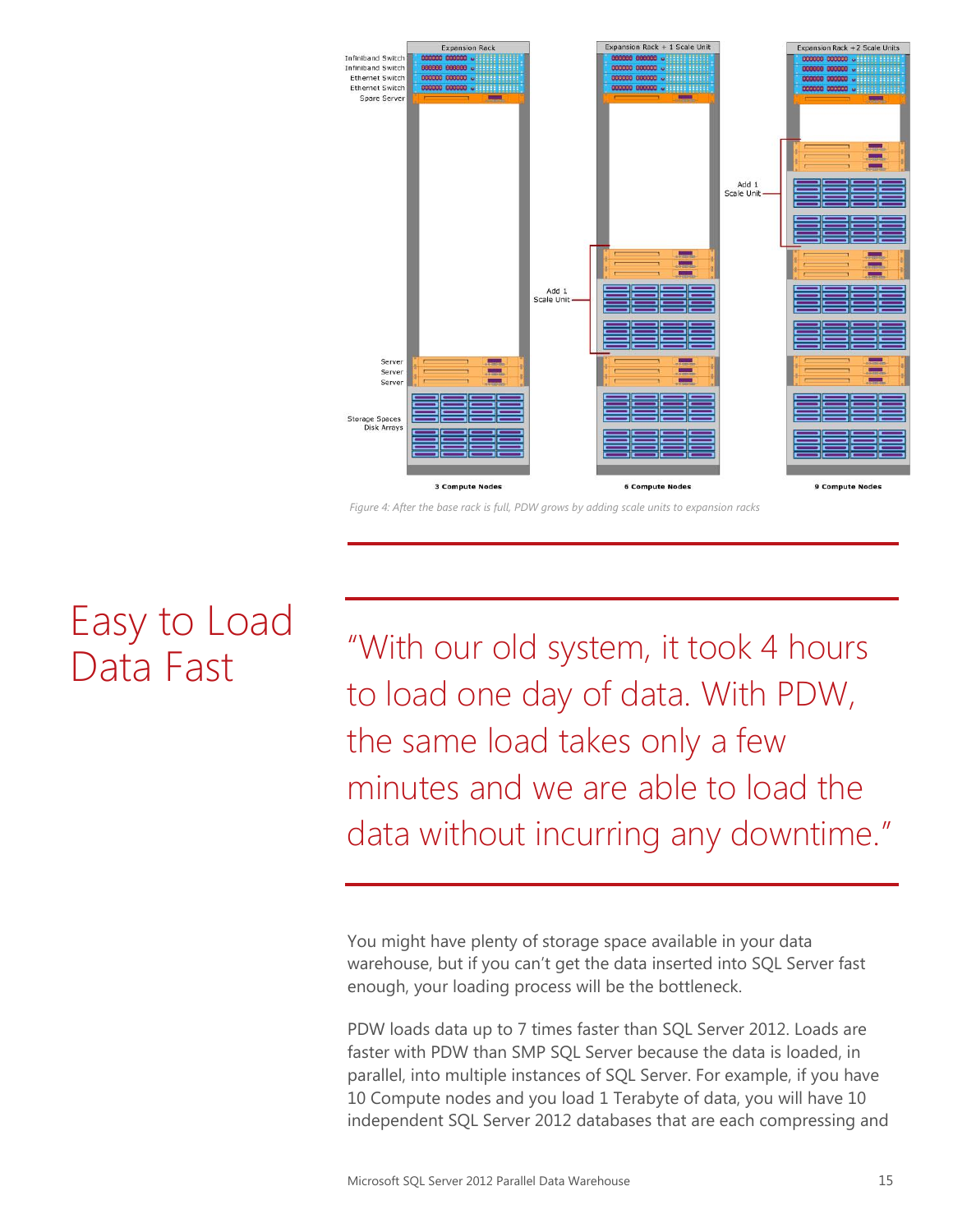

*Figure 4: After the base rack is full, PDW grows by adding scale units to expansion racks*

# Easy to Load Data Fast

"With our old system, it took 4 hours to load one day of data. With PDW, the same load takes only a few minutes and we are able to load the data without incurring any downtime."

You might have plenty of storage space available in your data warehouse, but if you can't get the data inserted into SQL Server fast enough, your loading process will be the bottleneck.

PDW loads data up to 7 times faster than SQL Server 2012. Loads are faster with PDW than SMP SQL Server because the data is loaded, in parallel, into multiple instances of SQL Server. For example, if you have 10 Compute nodes and you load 1 Terabyte of data, you will have 10 independent SQL Server 2012 databases that are each compressing and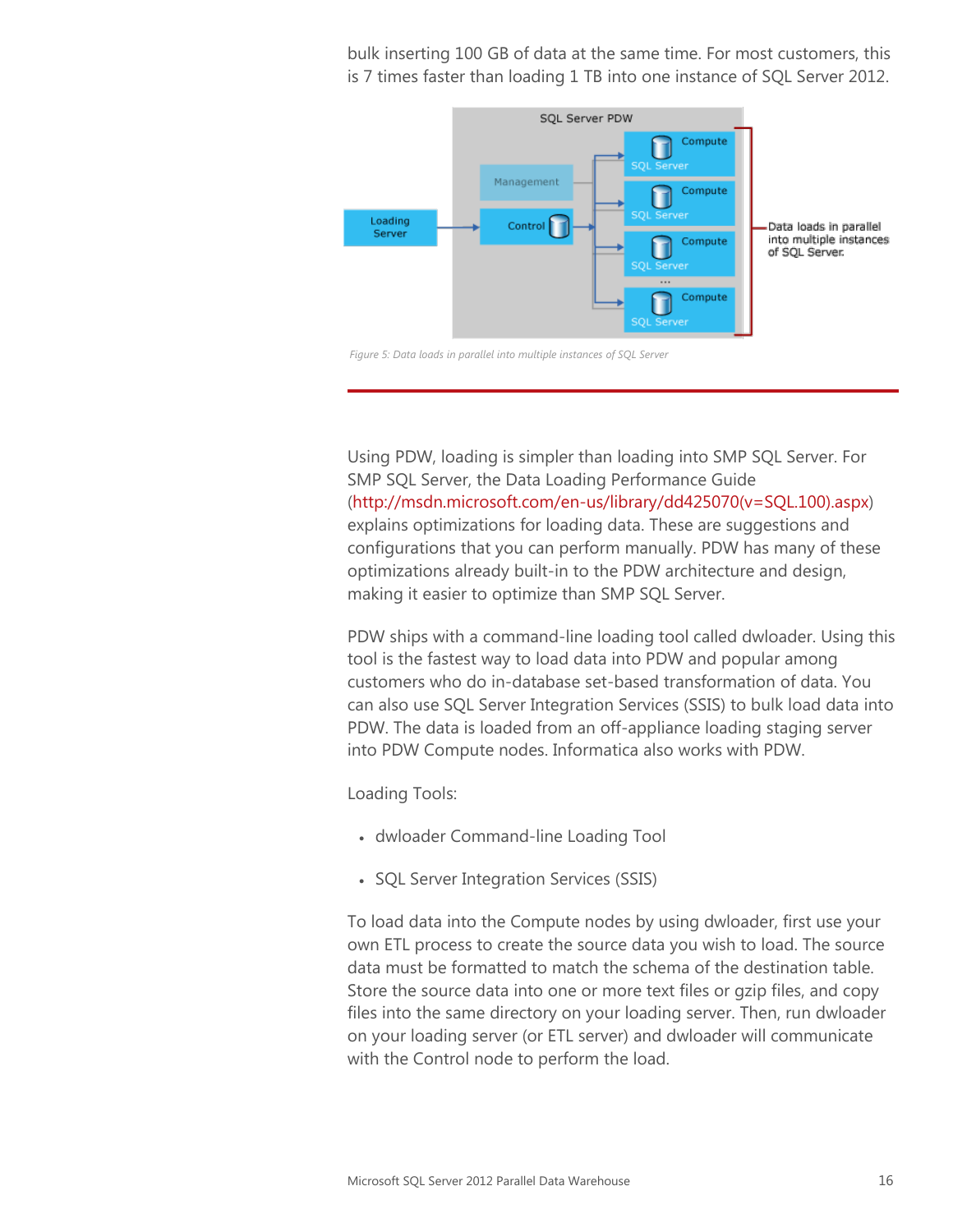bulk inserting 100 GB of data at the same time. For most customers, this is 7 times faster than loading 1 TB into one instance of SQL Server 2012.



*Figure 5: Data loads in parallel into multiple instances of SQL Server*

Using PDW, loading is simpler than loading into SMP SQL Server. For SMP SQL Server, the Data Loading Performance Guide [\(http://msdn.microsoft.com/en-us/library/dd425070\(v=SQL.100\).aspx\)](http://msdn.microsoft.com/en-us/library/dd425070(v=SQL.100).aspx) explains optimizations for loading data. These are suggestions and configurations that you can perform manually. PDW has many of these optimizations already built-in to the PDW architecture and design, making it easier to optimize than SMP SQL Server.

PDW ships with a command-line loading tool called dwloader. Using this tool is the fastest way to load data into PDW and popular among customers who do in-database set-based transformation of data. You can also use SQL Server Integration Services (SSIS) to bulk load data into PDW. The data is loaded from an off-appliance loading staging server into PDW Compute nodes. Informatica also works with PDW.

Loading Tools:

- dwloader Command-line Loading Tool
- SQL Server Integration Services (SSIS)

To load data into the Compute nodes by using dwloader, first use your own ETL process to create the source data you wish to load. The source data must be formatted to match the schema of the destination table. Store the source data into one or more text files or gzip files, and copy files into the same directory on your loading server. Then, run dwloader on your loading server (or ETL server) and dwloader will communicate with the Control node to perform the load.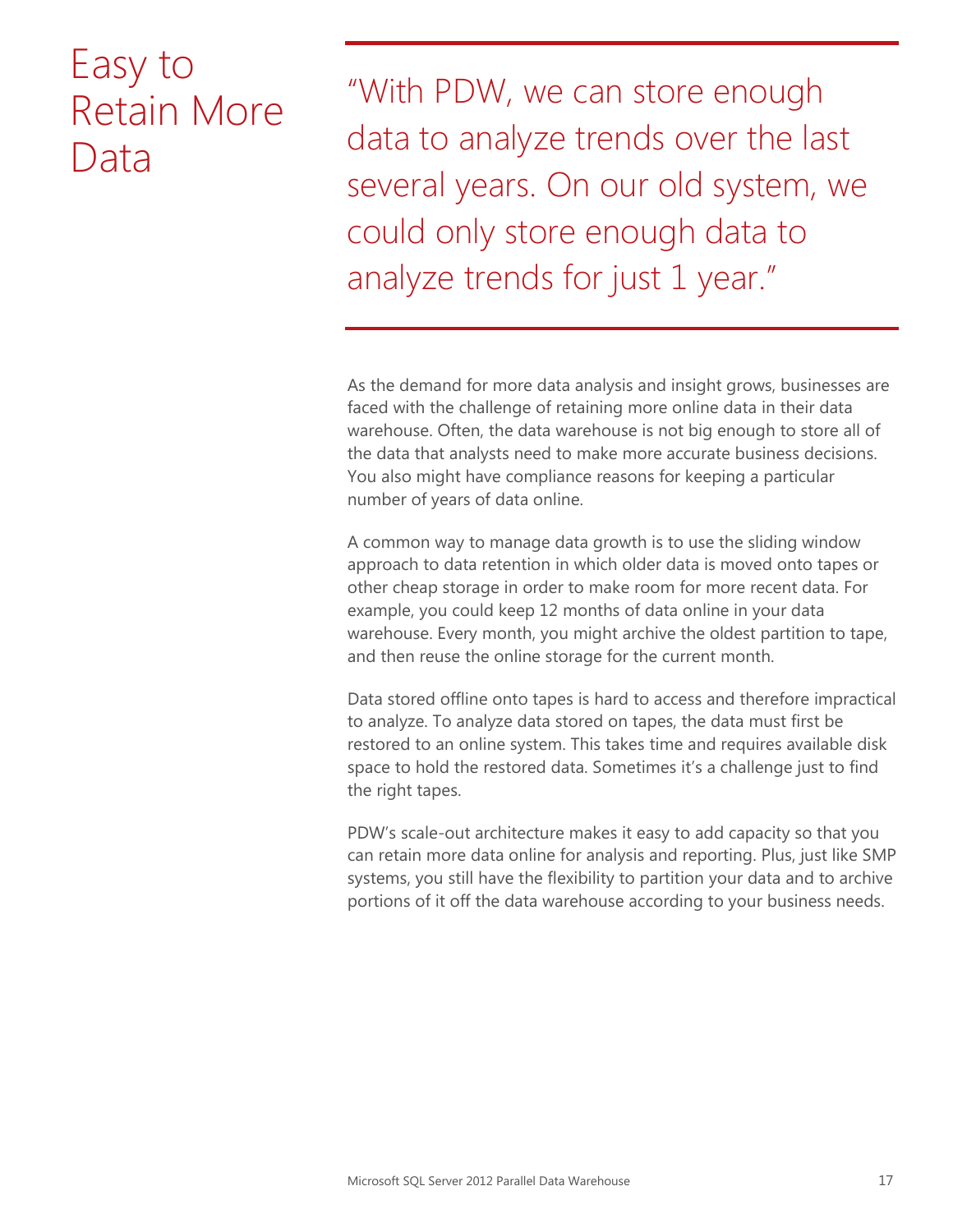### Easy to Retain More Data

"With PDW, we can store enough data to analyze trends over the last several years. On our old system, we could only store enough data to analyze trends for just 1 year."

As the demand for more data analysis and insight grows, businesses are faced with the challenge of retaining more online data in their data warehouse. Often, the data warehouse is not big enough to store all of the data that analysts need to make more accurate business decisions. You also might have compliance reasons for keeping a particular number of years of data online.

A common way to manage data growth is to use the sliding window approach to data retention in which older data is moved onto tapes or other cheap storage in order to make room for more recent data. For example, you could keep 12 months of data online in your data warehouse. Every month, you might archive the oldest partition to tape, and then reuse the online storage for the current month.

Data stored offline onto tapes is hard to access and therefore impractical to analyze. To analyze data stored on tapes, the data must first be restored to an online system. This takes time and requires available disk space to hold the restored data. Sometimes it's a challenge just to find the right tapes.

PDW's scale-out architecture makes it easy to add capacity so that you can retain more data online for analysis and reporting. Plus, just like SMP systems, you still have the flexibility to partition your data and to archive portions of it off the data warehouse according to your business needs.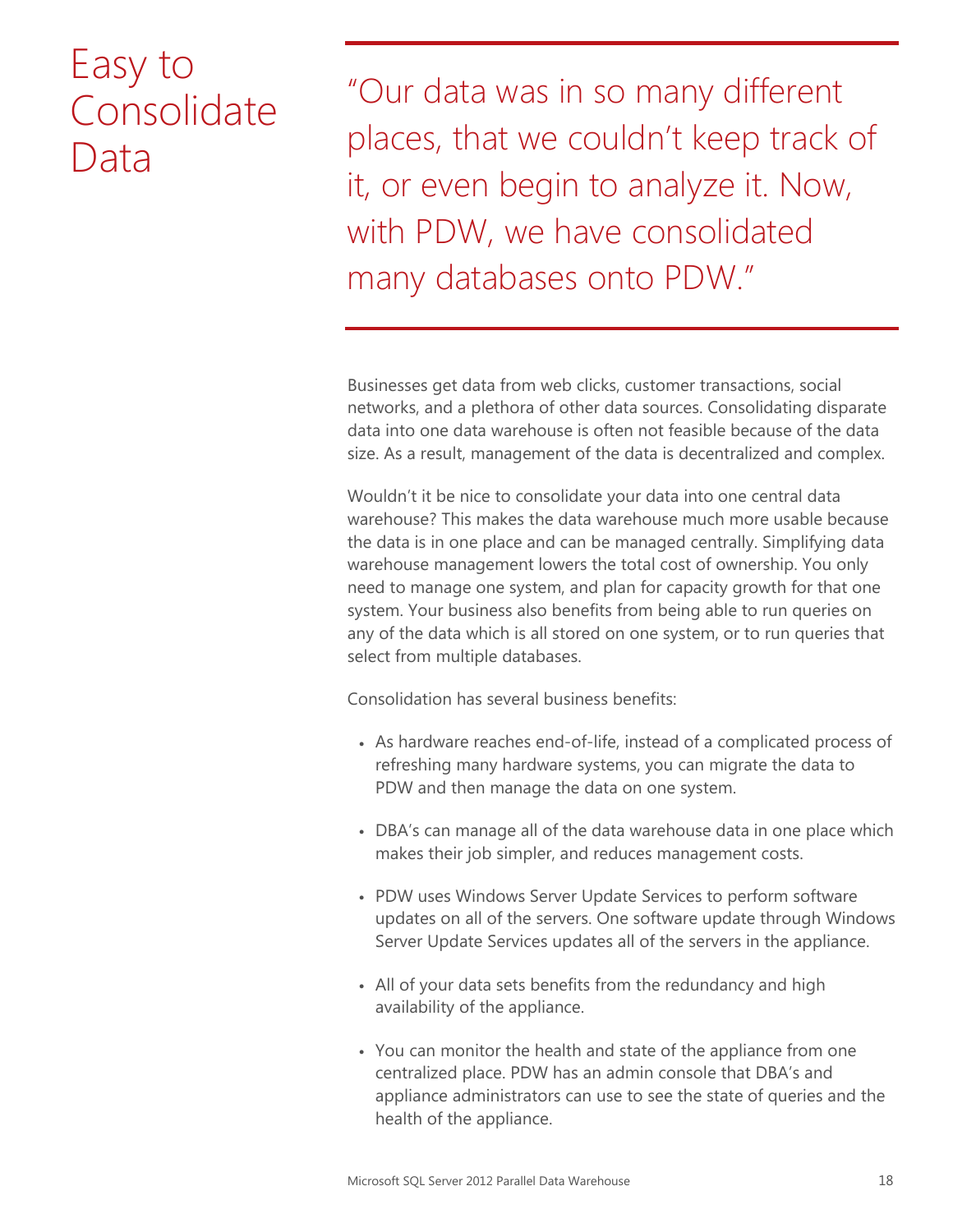### Easy to Consolidate Data

"Our data was in so many different places, that we couldn't keep track of it, or even begin to analyze it. Now, with PDW, we have consolidated many databases onto PDW."

Businesses get data from web clicks, customer transactions, social networks, and a plethora of other data sources. Consolidating disparate data into one data warehouse is often not feasible because of the data size. As a result, management of the data is decentralized and complex.

Wouldn't it be nice to consolidate your data into one central data warehouse? This makes the data warehouse much more usable because the data is in one place and can be managed centrally. Simplifying data warehouse management lowers the total cost of ownership. You only need to manage one system, and plan for capacity growth for that one system. Your business also benefits from being able to run queries on any of the data which is all stored on one system, or to run queries that select from multiple databases.

Consolidation has several business benefits:

- As hardware reaches end-of-life, instead of a complicated process of refreshing many hardware systems, you can migrate the data to PDW and then manage the data on one system.
- DBA's can manage all of the data warehouse data in one place which makes their job simpler, and reduces management costs.
- PDW uses Windows Server Update Services to perform software updates on all of the servers. One software update through Windows Server Update Services updates all of the servers in the appliance.
- All of your data sets benefits from the redundancy and high availability of the appliance.
- You can monitor the health and state of the appliance from one centralized place. PDW has an admin console that DBA's and appliance administrators can use to see the state of queries and the health of the appliance.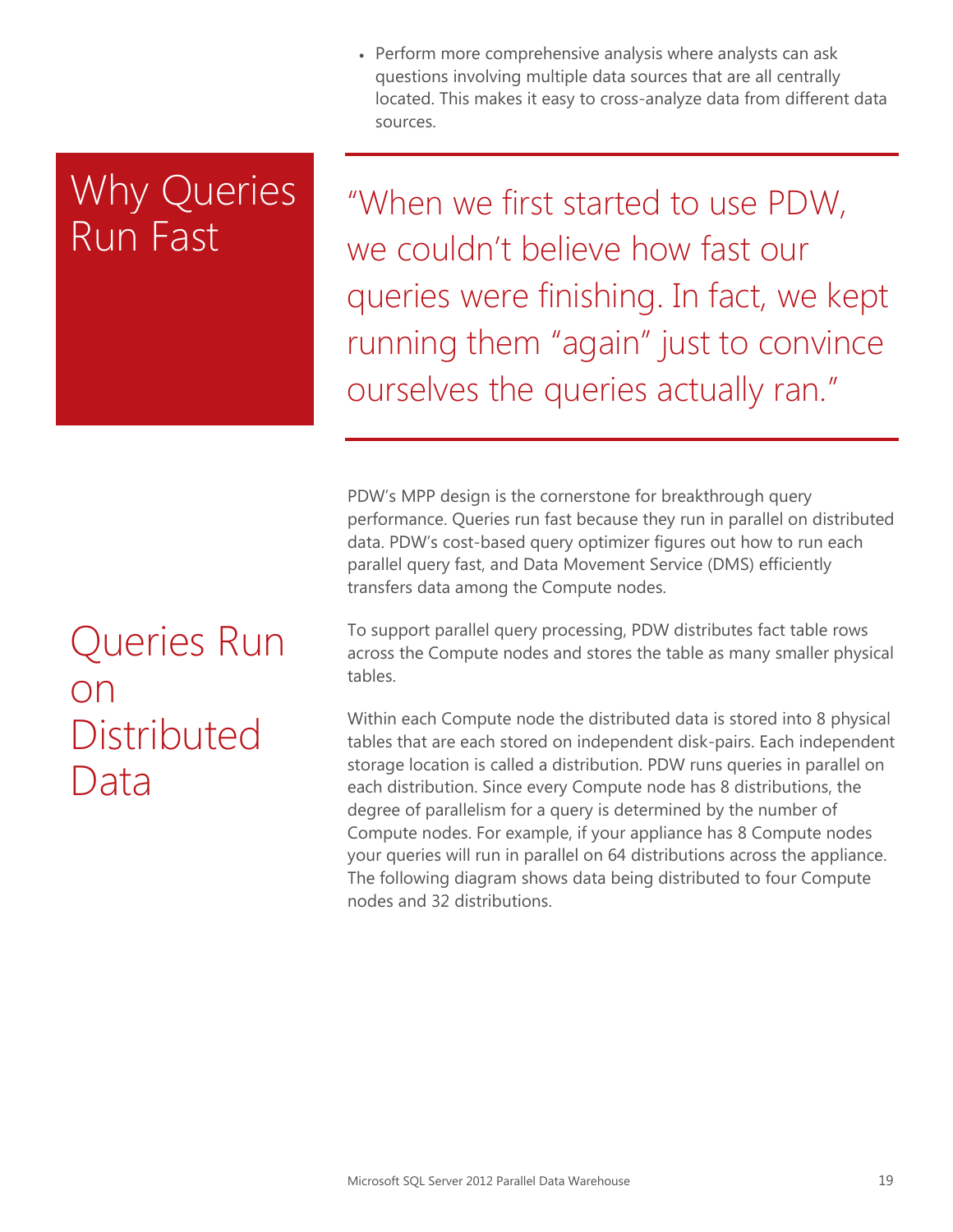Perform more comprehensive analysis where analysts can ask questions involving multiple data sources that are all centrally located. This makes it easy to cross-analyze data from different data sources.

### Why Queries Run Fast

"When we first started to use PDW, we couldn't believe how fast our queries were finishing. In fact, we kept running them "again" just to convince ourselves the queries actually ran."

PDW's MPP design is the cornerstone for breakthrough query performance. Queries run fast because they run in parallel on distributed data. PDW's cost-based query optimizer figures out how to run each parallel query fast, and Data Movement Service (DMS) efficiently transfers data among the Compute nodes.

To support parallel query processing, PDW distributes fact table rows across the Compute nodes and stores the table as many smaller physical tables.

Within each Compute node the distributed data is stored into 8 physical tables that are each stored on independent disk-pairs. Each independent storage location is called a distribution. PDW runs queries in parallel on each distribution. Since every Compute node has 8 distributions, the degree of parallelism for a query is determined by the number of Compute nodes. For example, if your appliance has 8 Compute nodes your queries will run in parallel on 64 distributions across the appliance. The following diagram shows data being distributed to four Compute nodes and 32 distributions.

# Queries Run on **Distributed** Data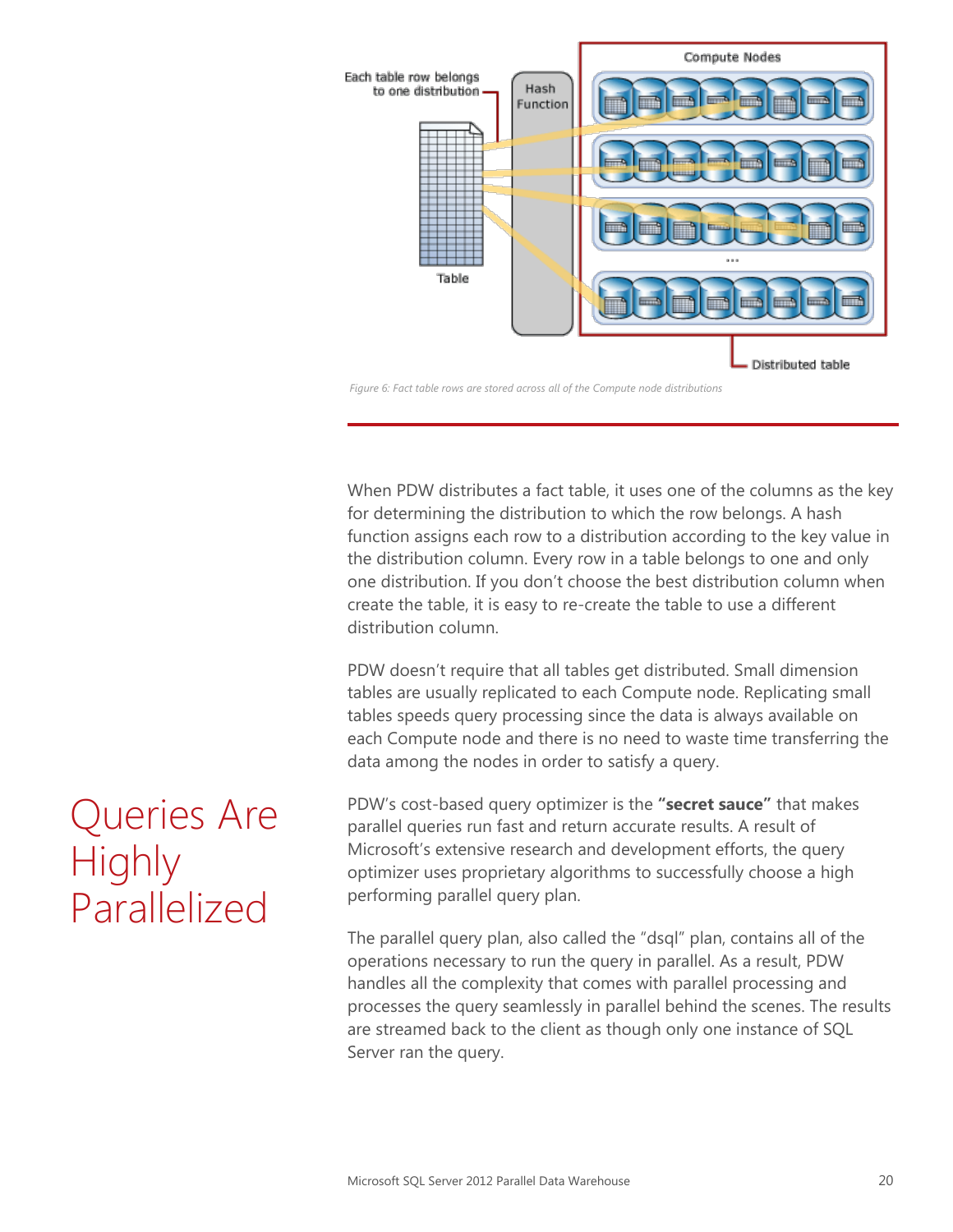

*Figure 6: Fact table rows are stored across all of the Compute node distributions*

When PDW distributes a fact table, it uses one of the columns as the key for determining the distribution to which the row belongs. A hash function assigns each row to a distribution according to the key value in the distribution column. Every row in a table belongs to one and only one distribution. If you don't choose the best distribution column when create the table, it is easy to re-create the table to use a different distribution column.

PDW doesn't require that all tables get distributed. Small dimension tables are usually replicated to each Compute node. Replicating small tables speeds query processing since the data is always available on each Compute node and there is no need to waste time transferring the data among the nodes in order to satisfy a query.

PDW's cost-based query optimizer is the **"secret sauce"** that makes parallel queries run fast and return accurate results. A result of Microsoft's extensive research and development efforts, the query optimizer uses proprietary algorithms to successfully choose a high performing parallel query plan.

The parallel query plan, also called the "dsql" plan, contains all of the operations necessary to run the query in parallel. As a result, PDW handles all the complexity that comes with parallel processing and processes the query seamlessly in parallel behind the scenes. The results are streamed back to the client as though only one instance of SQL Server ran the query.

### Queries Are **Highly** Parallelized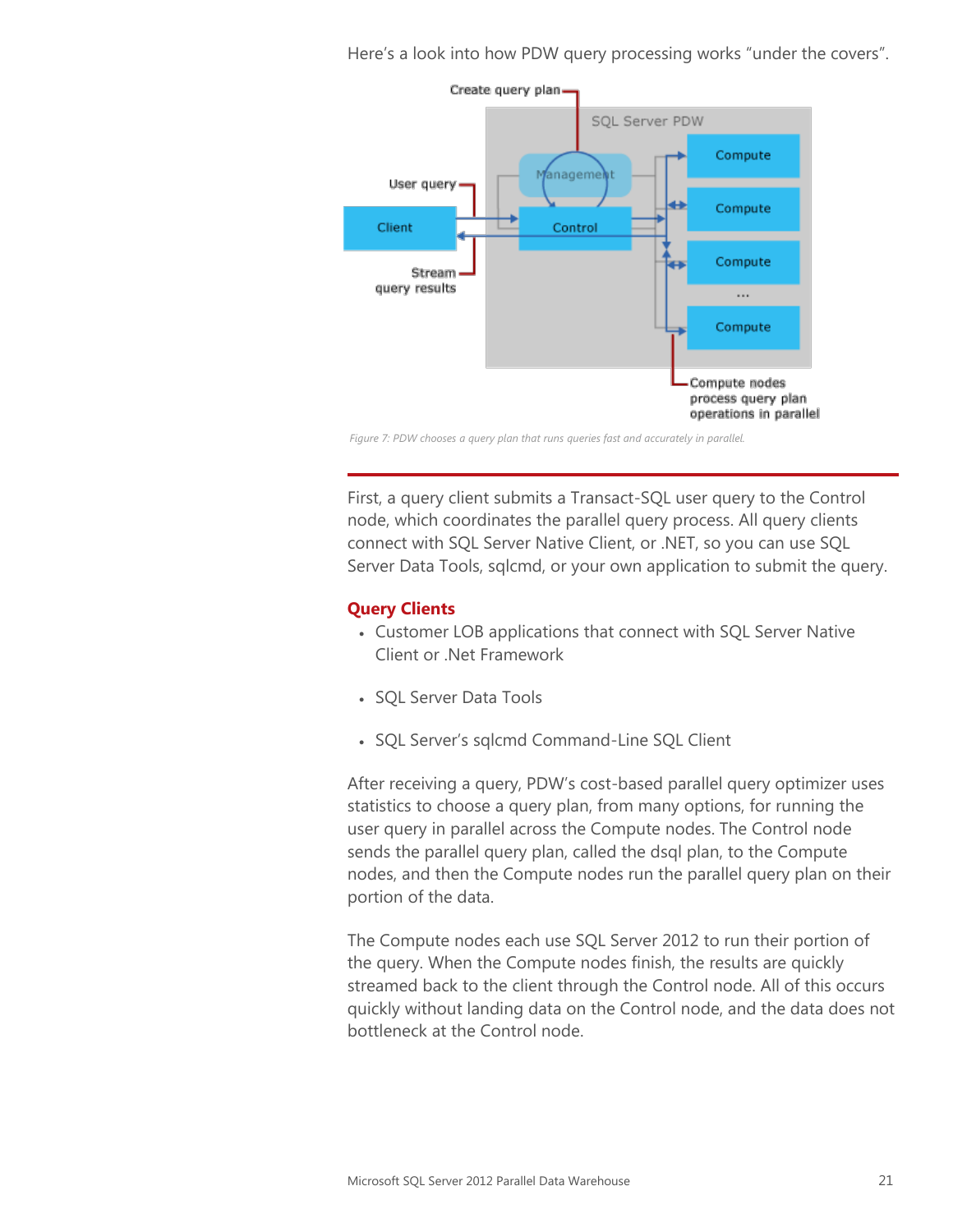Here's a look into how PDW query processing works "under the covers".



*Figure 7: PDW chooses a query plan that runs queries fast and accurately in parallel.*

First, a query client submits a Transact-SQL user query to the Control node, which coordinates the parallel query process. All query clients connect with SQL Server Native Client, or .NET, so you can use SQL Server Data Tools, sqlcmd, or your own application to submit the query.

#### **Query Clients**

- Customer LOB applications that connect with SQL Server Native Client or .Net Framework
- SQL Server Data Tools
- SQL Server's sqlcmd Command-Line SQL Client

After receiving a query, PDW's cost-based parallel query optimizer uses statistics to choose a query plan, from many options, for running the user query in parallel across the Compute nodes. The Control node sends the parallel query plan, called the dsql plan, to the Compute nodes, and then the Compute nodes run the parallel query plan on their portion of the data.

The Compute nodes each use SQL Server 2012 to run their portion of the query. When the Compute nodes finish, the results are quickly streamed back to the client through the Control node. All of this occurs quickly without landing data on the Control node, and the data does not bottleneck at the Control node.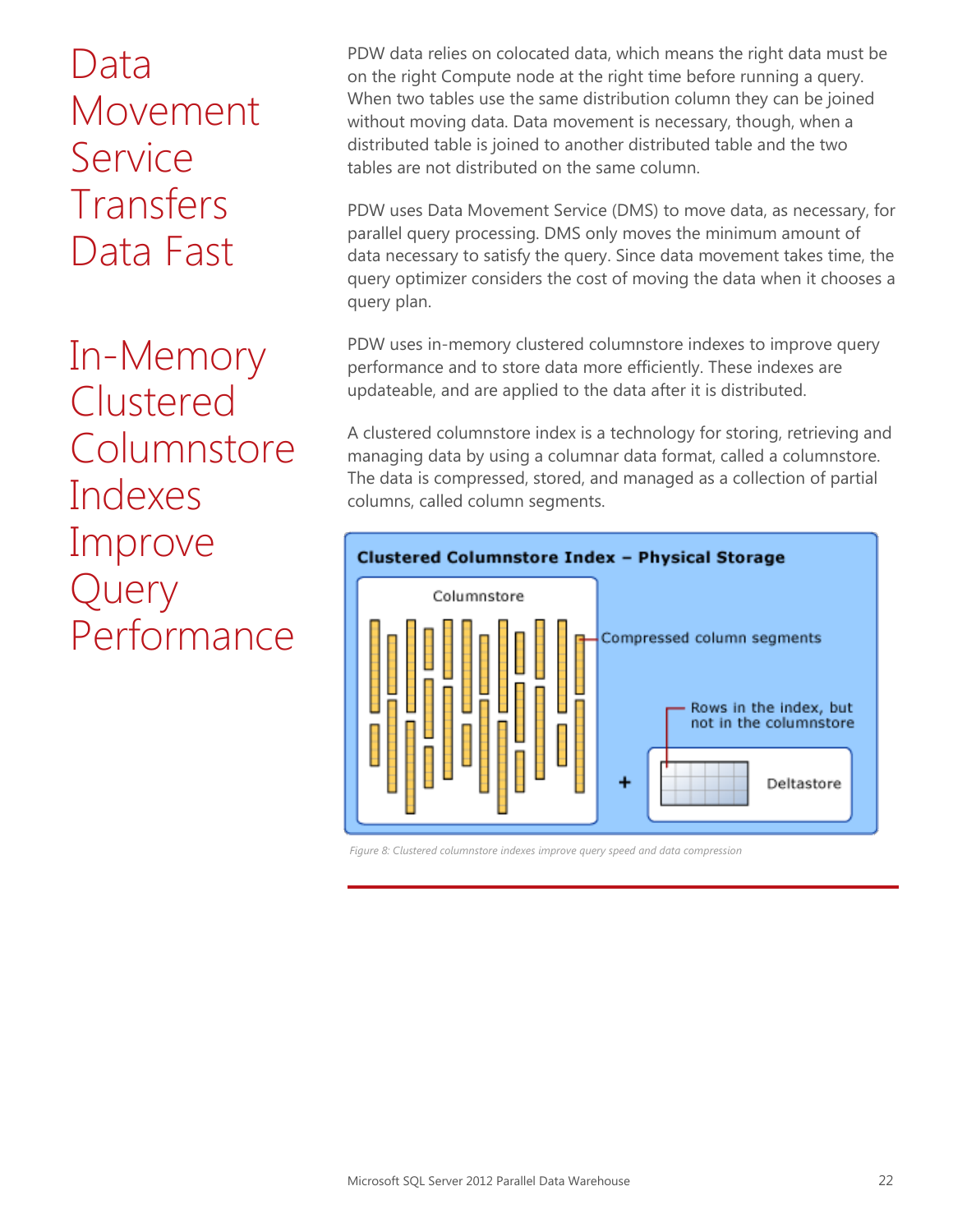Data Movement **Service** Transfers Data Fast

In-Memory Clustered **Columnstore** Indexes Improve Query Performance

PDW data relies on colocated data, which means the right data must be on the right Compute node at the right time before running a query. When two tables use the same distribution column they can be joined without moving data. Data movement is necessary, though, when a distributed table is joined to another distributed table and the two tables are not distributed on the same column.

PDW uses Data Movement Service (DMS) to move data, as necessary, for parallel query processing. DMS only moves the minimum amount of data necessary to satisfy the query. Since data movement takes time, the query optimizer considers the cost of moving the data when it chooses a query plan.

PDW uses in-memory clustered columnstore indexes to improve query performance and to store data more efficiently. These indexes are updateable, and are applied to the data after it is distributed.

A clustered columnstore index is a technology for storing, retrieving and managing data by using a columnar data format, called a columnstore. The data is compressed, stored, and managed as a collection of partial columns, called column segments.



*Figure 8: Clustered columnstore indexes improve query speed and data compression*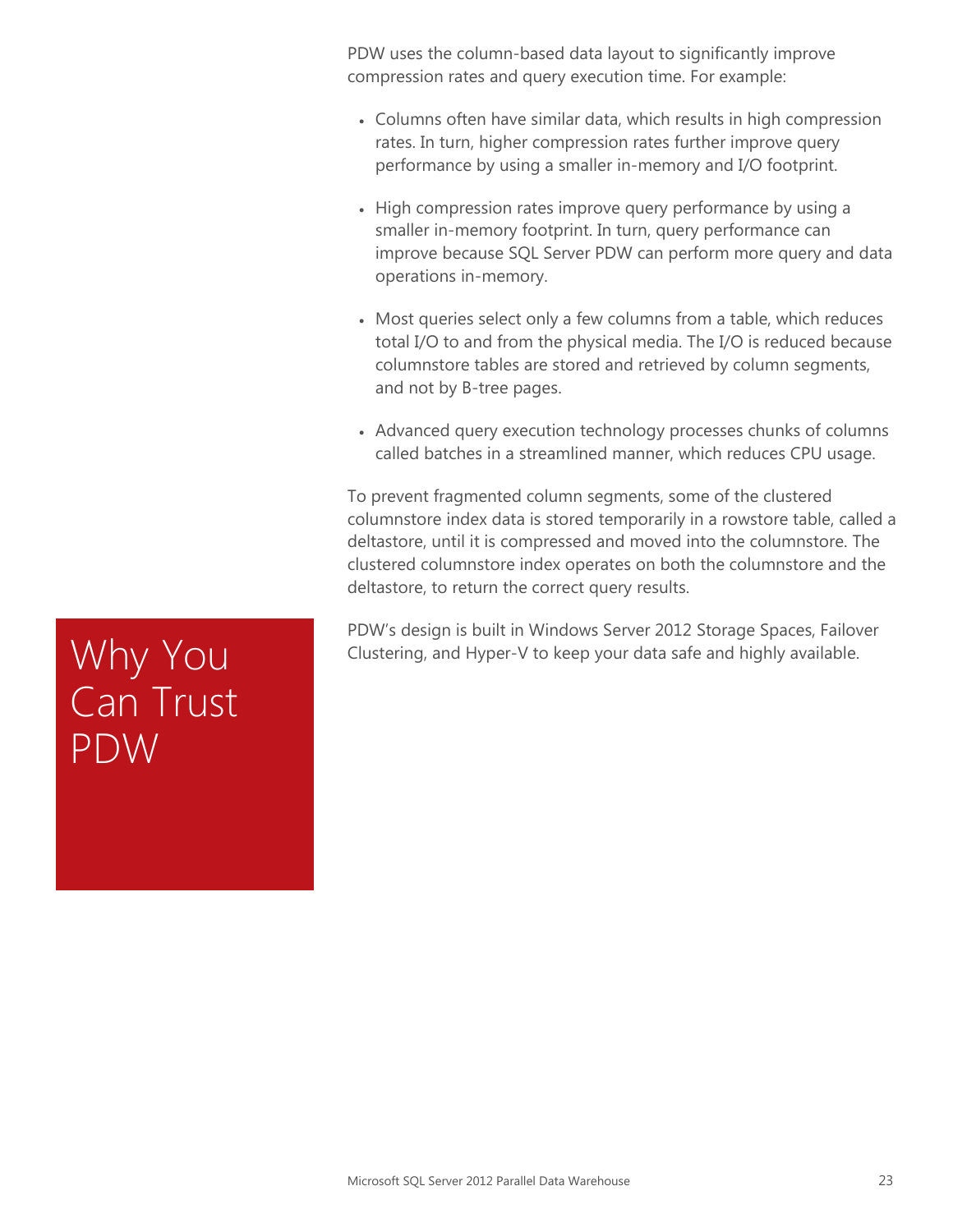PDW uses the column-based data layout to significantly improve compression rates and query execution time. For example:

- Columns often have similar data, which results in high compression rates. In turn, higher compression rates further improve query performance by using a smaller in-memory and I/O footprint.
- High compression rates improve query performance by using a smaller in-memory footprint. In turn, query performance can improve because SQL Server PDW can perform more query and data operations in-memory.
- Most queries select only a few columns from a table, which reduces total I/O to and from the physical media. The I/O is reduced because columnstore tables are stored and retrieved by column segments, and not by B-tree pages.
- Advanced query execution technology processes chunks of columns called batches in a streamlined manner, which reduces CPU usage.

To prevent fragmented column segments, some of the clustered columnstore index data is stored temporarily in a rowstore table, called a deltastore, until it is compressed and moved into the columnstore. The clustered columnstore index operates on both the columnstore and the deltastore, to return the correct query results.

PDW's design is built in Windows Server 2012 Storage Spaces, Failover Clustering, and Hyper-V to keep your data safe and highly available.

Why You<br>Can Trust PDW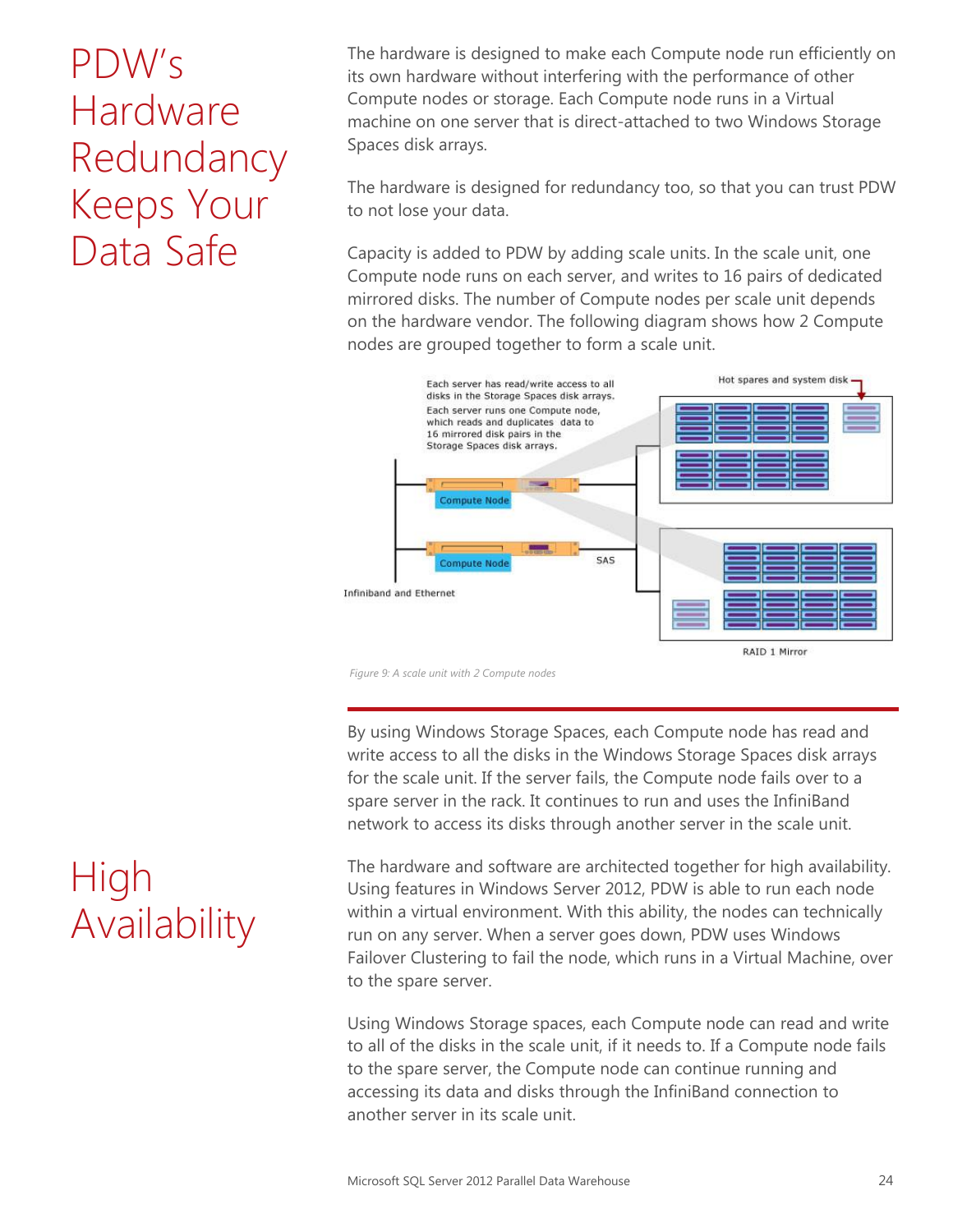# PDW's Hardware Redundancy Keeps Your Data Safe

The hardware is designed to make each Compute node run efficiently on its own hardware without interfering with the performance of other Compute nodes or storage. Each Compute node runs in a Virtual machine on one server that is direct-attached to two Windows Storage Spaces disk arrays.

The hardware is designed for redundancy too, so that you can trust PDW to not lose your data.

Capacity is added to PDW by adding scale units. In the scale unit, one Compute node runs on each server, and writes to 16 pairs of dedicated mirrored disks. The number of Compute nodes per scale unit depends on the hardware vendor. The following diagram shows how 2 Compute nodes are grouped together to form a scale unit.



*Figure 9: A scale unit with 2 Compute nodes*

By using Windows Storage Spaces, each Compute node has read and write access to all the disks in the Windows Storage Spaces disk arrays for the scale unit. If the server fails, the Compute node fails over to a spare server in the rack. It continues to run and uses the InfiniBand network to access its disks through another server in the scale unit.

The hardware and software are architected together for high availability. Using features in Windows Server 2012, PDW is able to run each node within a virtual environment. With this ability, the nodes can technically run on any server. When a server goes down, PDW uses Windows Failover Clustering to fail the node, which runs in a Virtual Machine, over to the spare server.

Using Windows Storage spaces, each Compute node can read and write to all of the disks in the scale unit, if it needs to. If a Compute node fails to the spare server, the Compute node can continue running and accessing its data and disks through the InfiniBand connection to another server in its scale unit.

### High Availability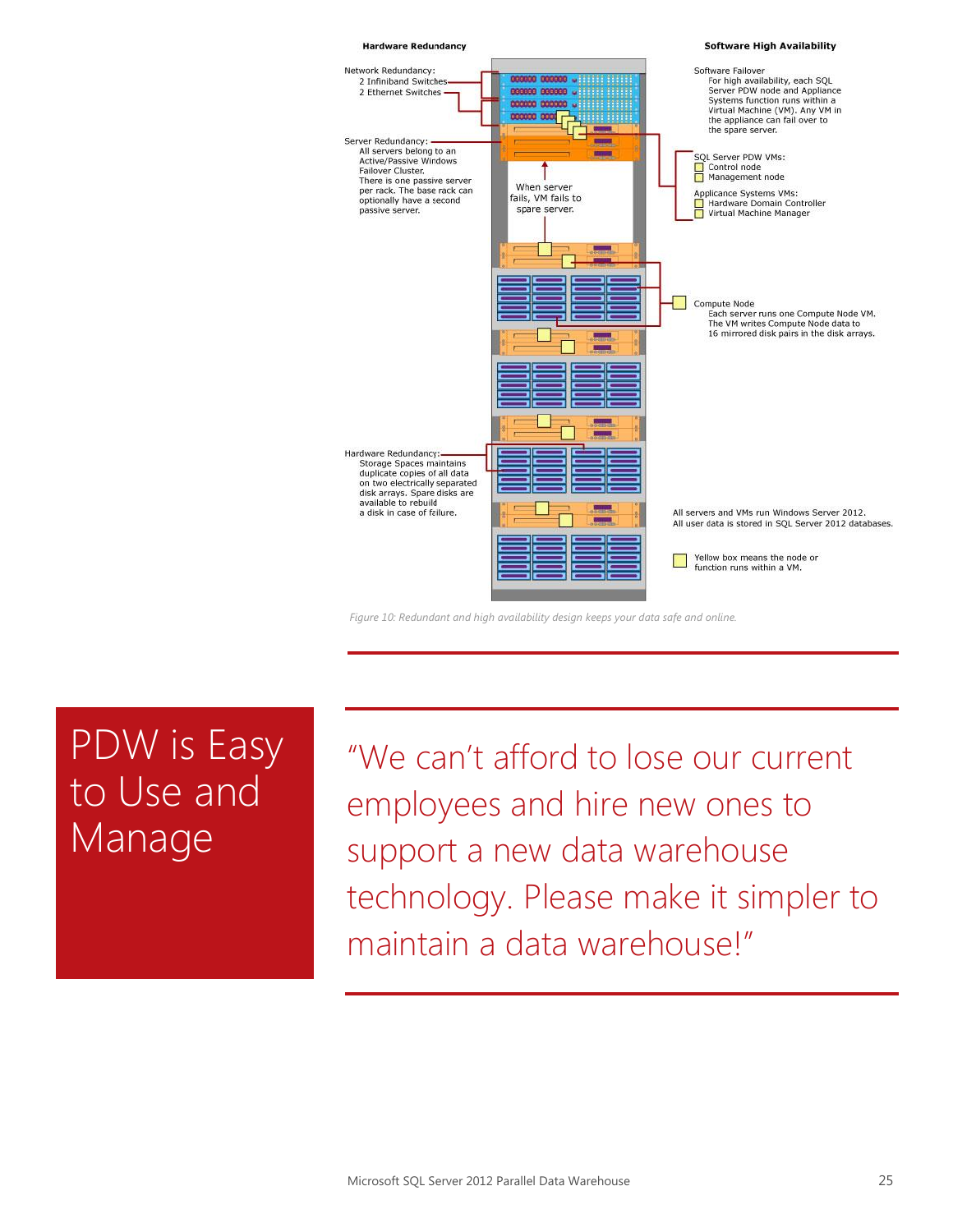

*Figure 10: Redundant and high availability design keeps your data safe and online.*

### PDW is Easy to Use and Manage

"We can't afford to lose our current employees and hire new ones to support a new data warehouse technology. Please make it simpler to maintain a data warehouse!"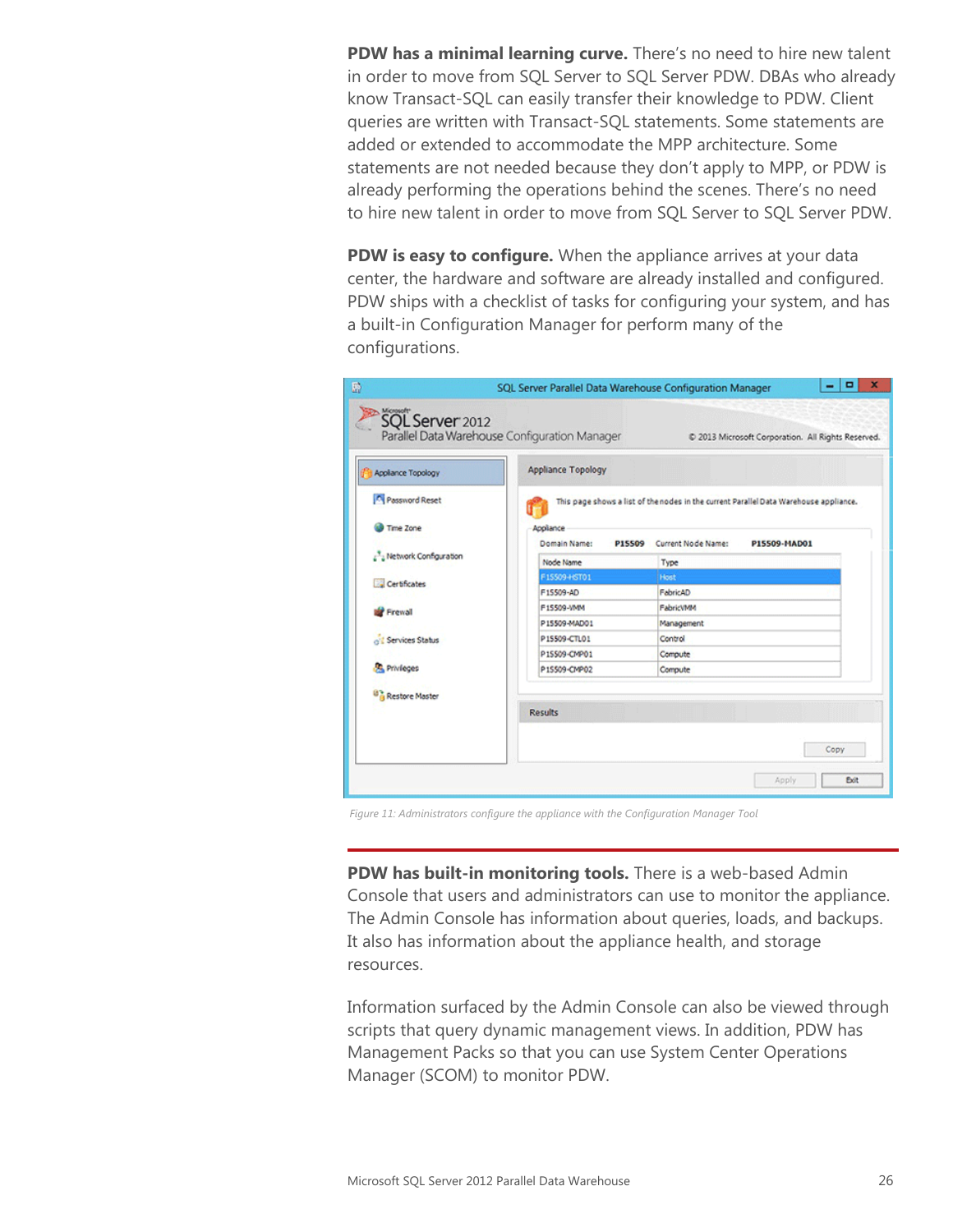**PDW has a minimal learning curve.** There's no need to hire new talent in order to move from SQL Server to SQL Server PDW. DBAs who already know Transact-SQL can easily transfer their knowledge to PDW. Client queries are written with Transact-SQL statements. Some statements are added or extended to accommodate the MPP architecture. Some statements are not needed because they don't apply to MPP, or PDW is already performing the operations behind the scenes. There's no need to hire new talent in order to move from SQL Server to SQL Server PDW.

**PDW is easy to configure.** When the appliance arrives at your data center, the hardware and software are already installed and configured. PDW ships with a checklist of tasks for configuring your system, and has a built-in Configuration Manager for perform many of the configurations.

| $\mathbb{D}$                                    | SQL Server Parallel Data Warehouse Configuration Manager                              |                              | ×<br>о<br>-                                        |  |  |
|-------------------------------------------------|---------------------------------------------------------------------------------------|------------------------------|----------------------------------------------------|--|--|
| SQL Server 2012                                 | Parallel Data Warehouse Configuration Manager                                         |                              | C 2013 Microsoft Corporation. All Rights Reserved. |  |  |
| Applance Topology                               | <b>Appliance Topology</b>                                                             |                              |                                                    |  |  |
| Password Reset                                  | This page shows a list of the nodes in the current Parallel Data Warehouse appliance. |                              |                                                    |  |  |
| Time Zone                                       | Appliance<br>Domain Name:<br>P15509                                                   | Current Node Name:           | P15509-MAD01                                       |  |  |
| <sup>3</sup> <sub>2</sub> Network Configuration | Node Name                                                                             | Type                         |                                                    |  |  |
| Certificates                                    | F15509-HST01                                                                          | <b>Host</b>                  |                                                    |  |  |
|                                                 | F15509-AD<br>F15509-VMM                                                               | FabricAD<br><b>FabricVMM</b> |                                                    |  |  |
| <b>Frewall</b>                                  | P15509-MAD01                                                                          | Management                   |                                                    |  |  |
| of L Services Status                            | P15509-CTL01                                                                          | Control                      |                                                    |  |  |
|                                                 | P15509-CMP01                                                                          | Compute                      |                                                    |  |  |
| <b>Privicces</b>                                | P15509-CMP02                                                                          | Compute                      |                                                    |  |  |
| Restore Master                                  |                                                                                       |                              |                                                    |  |  |
| <b>Results</b>                                  |                                                                                       |                              |                                                    |  |  |
|                                                 |                                                                                       |                              |                                                    |  |  |
|                                                 |                                                                                       |                              | Copy                                               |  |  |
|                                                 |                                                                                       |                              | Apply<br><b>Exit</b>                               |  |  |

*Figure 11: Administrators configure the appliance with the Configuration Manager Tool*

**PDW has built-in monitoring tools.** There is a web-based Admin Console that users and administrators can use to monitor the appliance. The Admin Console has information about queries, loads, and backups. It also has information about the appliance health, and storage resources.

Information surfaced by the Admin Console can also be viewed through scripts that query dynamic management views. In addition, PDW has Management Packs so that you can use System Center Operations Manager (SCOM) to monitor PDW.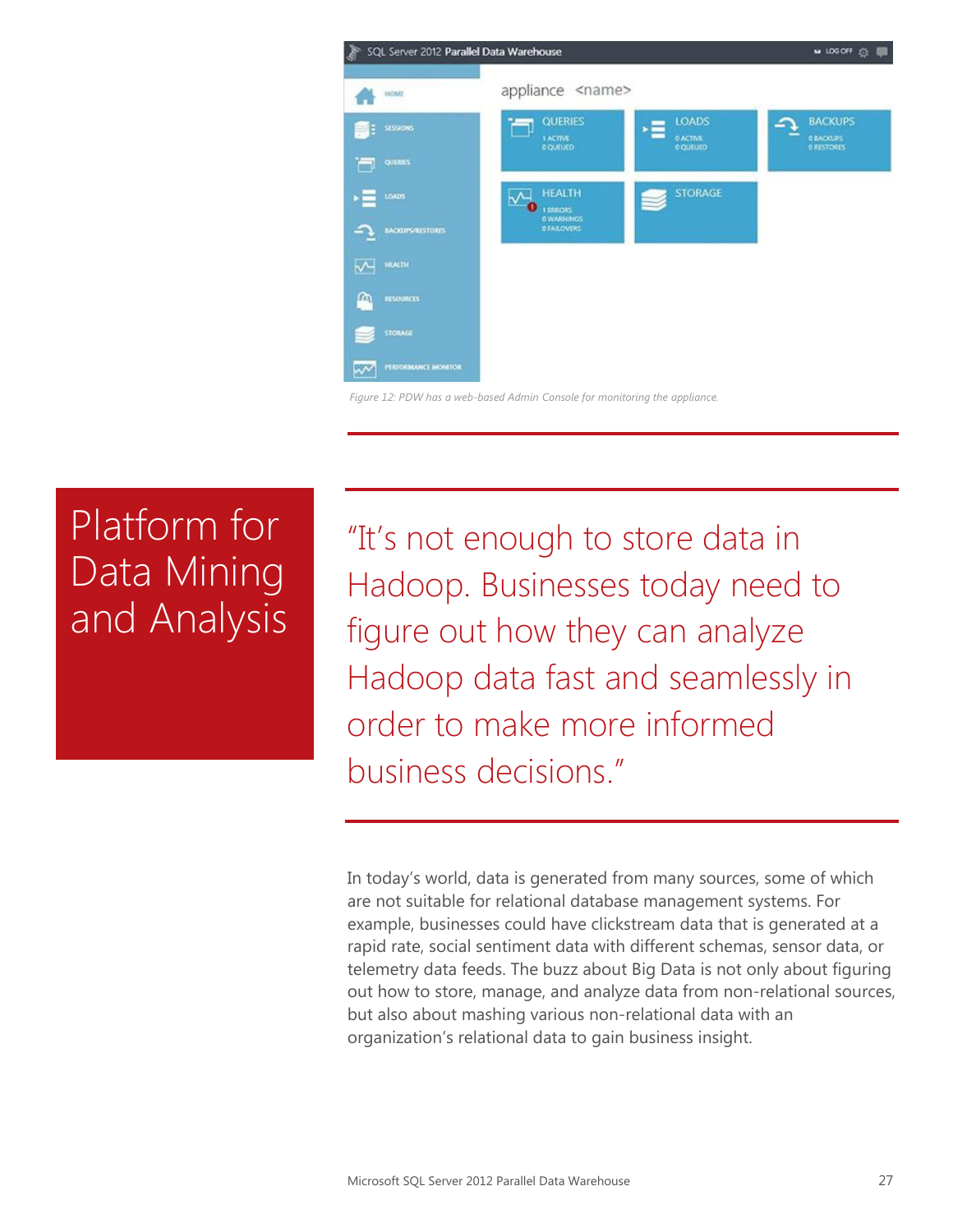

#### *Figure 12: PDW has a web-based Admin Console for monitoring the appliance.*

# Platform for Data Mining and Analysis

"It's not enough to store data in Hadoop. Businesses today need to figure out how they can analyze Hadoop data fast and seamlessly in order to make more informed business decisions."

In today's world, data is generated from many sources, some of which are not suitable for relational database management systems. For example, businesses could have clickstream data that is generated at a rapid rate, social sentiment data with different schemas, sensor data, or telemetry data feeds. The buzz about Big Data is not only about figuring out how to store, manage, and analyze data from non-relational sources, but also about mashing various non-relational data with an organization's relational data to gain business insight.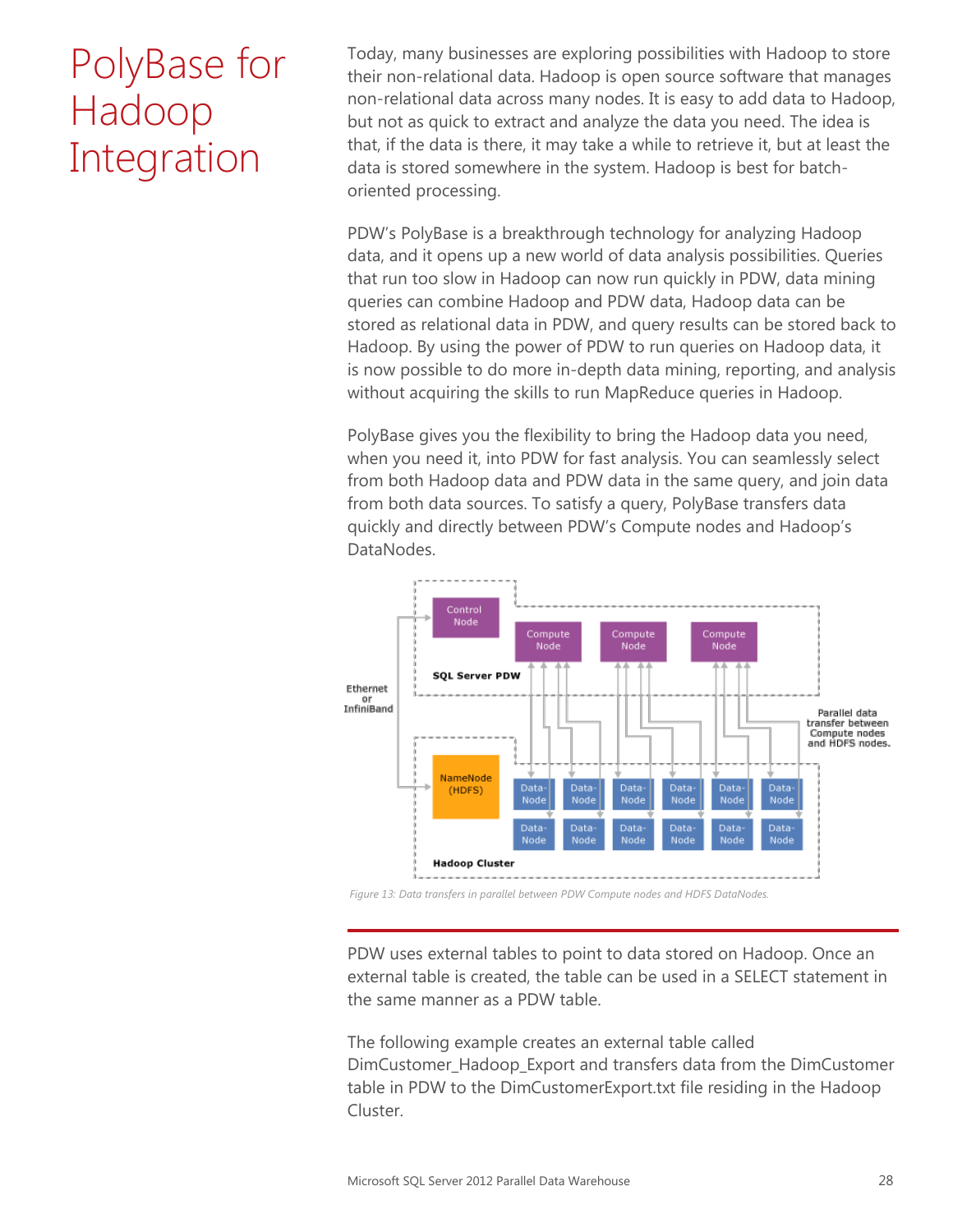### PolyBase for Hadoop Integration

Today, many businesses are exploring possibilities with Hadoop to store their non-relational data. Hadoop is open source software that manages non-relational data across many nodes. It is easy to add data to Hadoop, but not as quick to extract and analyze the data you need. The idea is that, if the data is there, it may take a while to retrieve it, but at least the data is stored somewhere in the system. Hadoop is best for batchoriented processing.

PDW's PolyBase is a breakthrough technology for analyzing Hadoop data, and it opens up a new world of data analysis possibilities. Queries that run too slow in Hadoop can now run quickly in PDW, data mining queries can combine Hadoop and PDW data, Hadoop data can be stored as relational data in PDW, and query results can be stored back to Hadoop. By using the power of PDW to run queries on Hadoop data, it is now possible to do more in-depth data mining, reporting, and analysis without acquiring the skills to run MapReduce queries in Hadoop.

PolyBase gives you the flexibility to bring the Hadoop data you need, when you need it, into PDW for fast analysis. You can seamlessly select from both Hadoop data and PDW data in the same query, and join data from both data sources. To satisfy a query, PolyBase transfers data quickly and directly between PDW's Compute nodes and Hadoop's DataNodes.



*Figure 13: Data transfers in parallel between PDW Compute nodes and HDFS DataNodes.*

PDW uses external tables to point to data stored on Hadoop. Once an external table is created, the table can be used in a SELECT statement in the same manner as a PDW table.

The following example creates an external table called DimCustomer\_Hadoop\_Export and transfers data from the DimCustomer table in PDW to the DimCustomerExport.txt file residing in the Hadoop Cluster.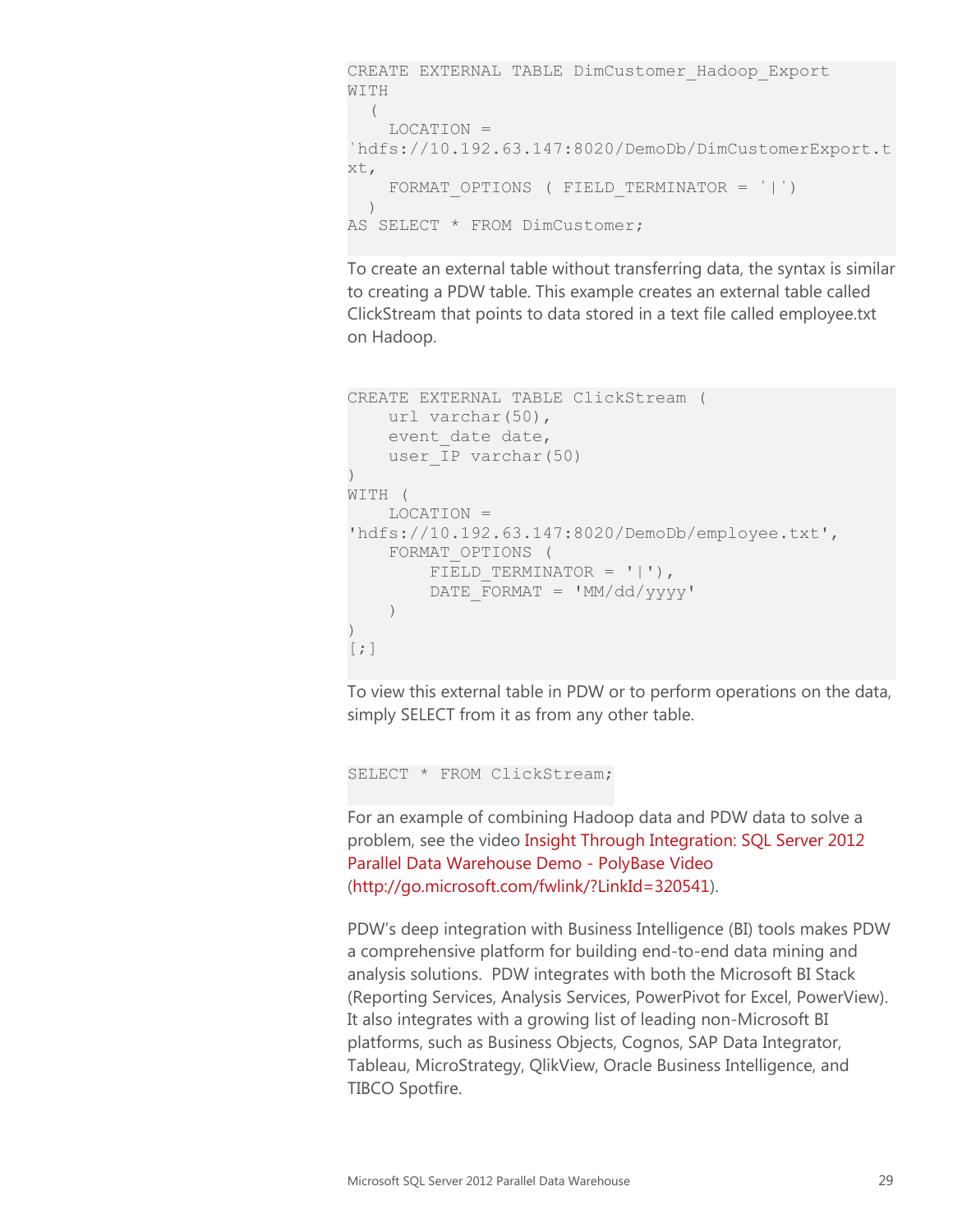```
CREATE EXTERNAL TABLE DimCustomer_Hadoop_Export
WITH
 \sqrt{2} LOCATION = 
ˈhdfs://10.192.63.147:8020/DemoDb/DimCustomerExport.t
xt, 
     FORMAT OPTIONS ( FIELD TERMINATOR = '|')\left( \begin{array}{c} \end{array} \right)AS SELECT * FROM DimCustomer;
```
To create an external table without transferring data, the syntax is similar to creating a PDW table. This example creates an external table called ClickStream that points to data stored in a text file called employee.txt on Hadoop.

```
CREATE EXTERNAL TABLE ClickStream ( 
    url varchar(50),
   event date date,
   user IP varchar(50)
)
WITH (
    LOCATION = 
'hdfs://10.192.63.147:8020/DemoDb/employee.txt',
    FORMAT_OPTIONS ( 
       FIELD TERMINATOR = '|'),
        DATE FORMAT = MM/dd/yyyy' )
\lambda\lceil; \rceil
```
To view this external table in PDW or to perform operations on the data, simply SELECT from it as from any other table.

SELECT \* FROM ClickStream;

For an example of combining Hadoop data and PDW data to solve a problem, see the video [Insight Through Integration: SQL Server 2012](http://go.microsoft.com/fwlink/?LinkId=320541)  [Parallel Data Warehouse Demo -](http://go.microsoft.com/fwlink/?LinkId=320541) PolyBase Video [\(http://go.microsoft.com/fwlink/?LinkId=320541\)](http://go.microsoft.com/fwlink/?LinkId=320541).

PDW's deep integration with Business Intelligence (BI) tools makes PDW a comprehensive platform for building end-to-end data mining and analysis solutions. PDW integrates with both the Microsoft BI Stack (Reporting Services, Analysis Services, PowerPivot for Excel, PowerView). It also integrates with a growing list of leading non-Microsoft BI platforms, such as Business Objects, Cognos, SAP Data Integrator, Tableau, MicroStrategy, QlikView, Oracle Business Intelligence, and TIBCO Spotfire.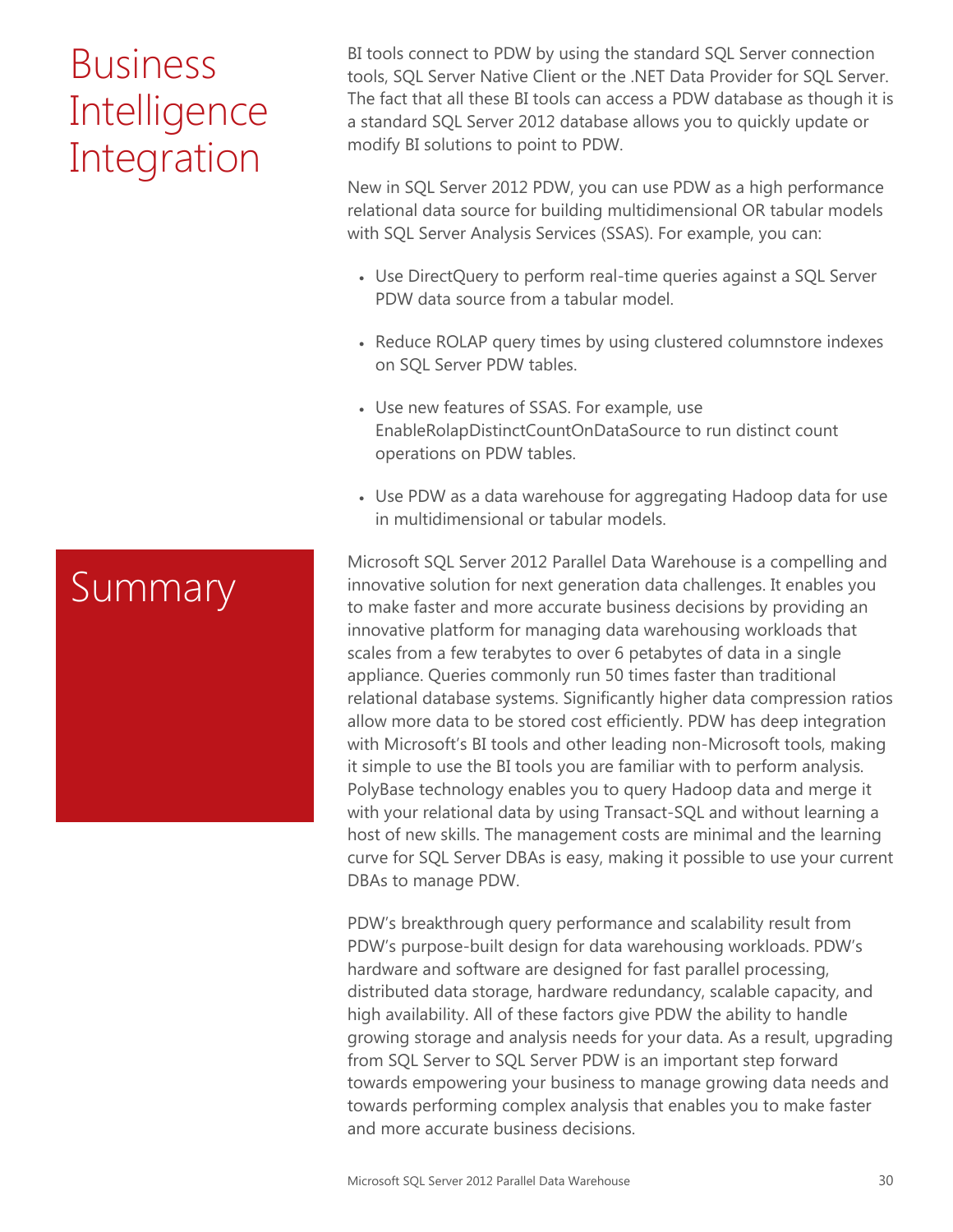# **Business Intelligence** Integration

BI tools connect to PDW by using the standard SQL Server connection tools, SQL Server Native Client or the .NET Data Provider for SQL Server. The fact that all these BI tools can access a PDW database as though it is a standard SQL Server 2012 database allows you to quickly update or modify BI solutions to point to PDW.

New in SQL Server 2012 PDW, you can use PDW as a high performance relational data source for building multidimensional OR tabular models with SQL Server Analysis Services (SSAS). For example, you can:

- Use DirectQuery to perform real-time queries against a SQL Server PDW data source from a tabular model.
- Reduce ROLAP query times by using clustered columnstore indexes on SQL Server PDW tables.
- Use new features of SSAS. For example, use EnableRolapDistinctCountOnDataSource to run distinct count operations on PDW tables.
- Use PDW as a data warehouse for aggregating Hadoop data for use in multidimensional or tabular models.

Microsoft SQL Server 2012 Parallel Data Warehouse is a compelling and innovative solution for next generation data challenges. It enables you to make faster and more accurate business decisions by providing an innovative platform for managing data warehousing workloads that scales from a few terabytes to over 6 petabytes of data in a single appliance. Queries commonly run 50 times faster than traditional relational database systems. Significantly higher data compression ratios allow more data to be stored cost efficiently. PDW has deep integration with Microsoft's BI tools and other leading non-Microsoft tools, making it simple to use the BI tools you are familiar with to perform analysis. PolyBase technology enables you to query Hadoop data and merge it with your relational data by using Transact-SQL and without learning a host of new skills. The management costs are minimal and the learning curve for SQL Server DBAs is easy, making it possible to use your current DBAs to manage PDW.

PDW's breakthrough query performance and scalability result from PDW's purpose-built design for data warehousing workloads. PDW's hardware and software are designed for fast parallel processing, distributed data storage, hardware redundancy, scalable capacity, and high availability. All of these factors give PDW the ability to handle growing storage and analysis needs for your data. As a result, upgrading from SQL Server to SQL Server PDW is an important step forward towards empowering your business to manage growing data needs and towards performing complex analysis that enables you to make faster and more accurate business decisions.

### Summary